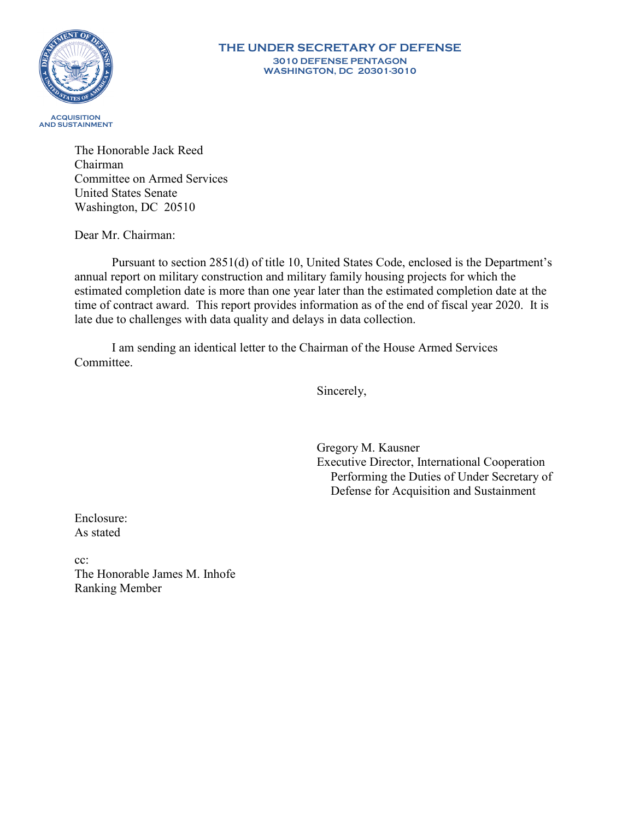

#### **THE UNDER SECRETARY OF DEFENSE 3010 DEFENSE PENTAGON WASHINGTON, DC 20301-3010**

The Honorable Jack Reed Chairman Committee on Armed Services United States Senate Washington, DC 20510

Dear Mr. Chairman:

Pursuant to section 2851(d) of title 10, United States Code, enclosed is the Department's annual report on military construction and military family housing projects for which the estimated completion date is more than one year later than the estimated completion date at the time of contract award. This report provides information as of the end of fiscal year 2020. It is late due to challenges with data quality and delays in data collection.

I am sending an identical letter to the Chairman of the House Armed Services Committee.

Sincerely,

Gregory M. Kausner Executive Director, International Cooperation Performing the Duties of Under Secretary of Defense for Acquisition and Sustainment

Enclosure: As stated

cc: The Honorable James M. Inhofe Ranking Member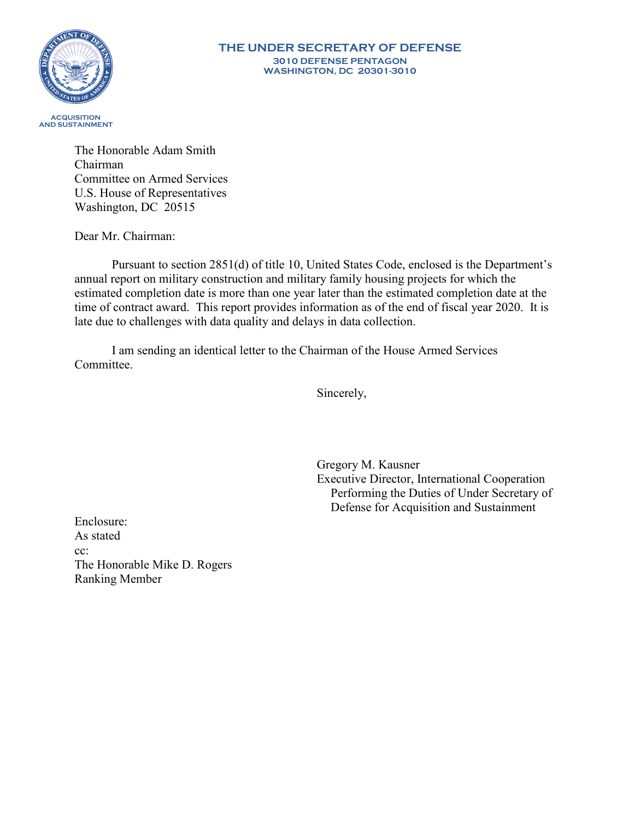

#### **THE UNDER SECRETARY OF DEFENSE 3010 DEFENSE PENTAGON WASHINGTON, DC 20301-3010**

The Honorable Adam Smith Chairman Committee on Armed Services U.S. House of Representatives Washington, DC 20515

Dear Mr. Chairman:

Pursuant to section 2851(d) of title 10, United States Code, enclosed is the Department's annual report on military construction and military family housing projects for which the estimated completion date is more than one year later than the estimated completion date at the time of contract award. This report provides information as of the end of fiscal year 2020. It is late due to challenges with data quality and delays in data collection.

I am sending an identical letter to the Chairman of the House Armed Services Committee.

Sincerely,

Gregory M. Kausner Executive Director, International Cooperation Performing the Duties of Under Secretary of Defense for Acquisition and Sustainment

Enclosure: As stated cc: The Honorable Mike D. Rogers Ranking Member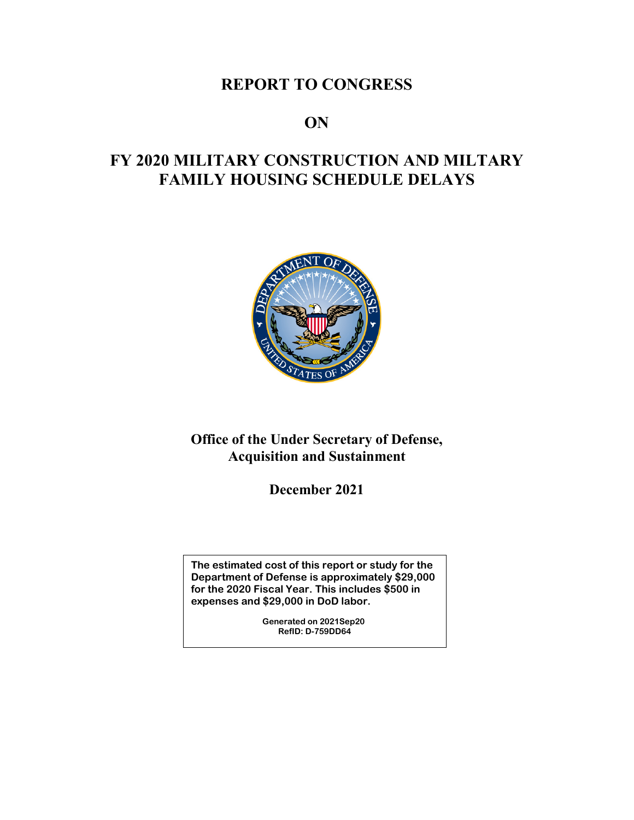## **REPORT TO CONGRESS**

### **ON**

# **FY 2020 MILITARY CONSTRUCTION AND MILTARY FAMILY HOUSING SCHEDULE DELAYS**



### **Office of the Under Secretary of Defense, Acquisition and Sustainment**

**December 2021**

**The estimated cost of this report or study for the Department of Defense is approximately \$29,000 for the 2020 Fiscal Year. This includes \$500 in expenses and \$29,000 in DoD labor.**

> **Generated on 2021Sep20 RefID: D-759DD64**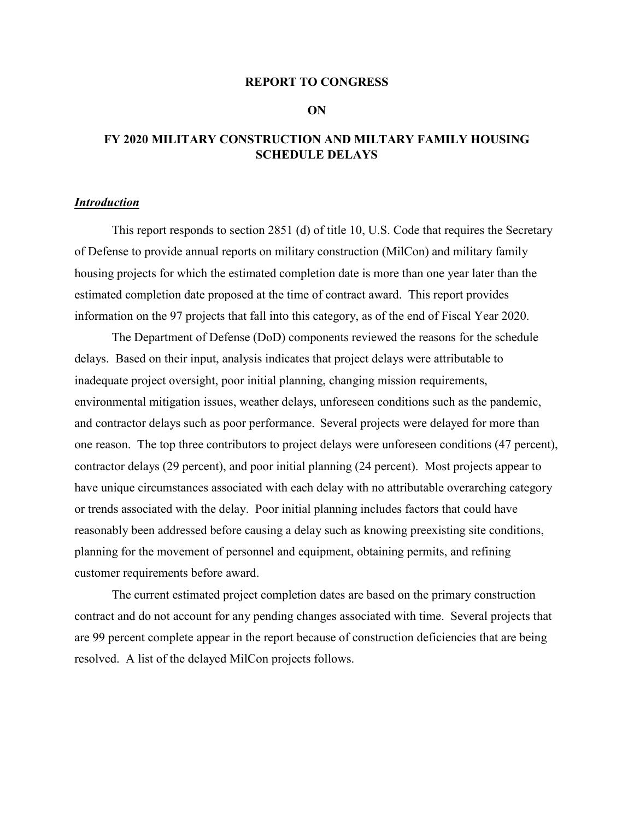### **REPORT TO CONGRESS**

**ON**

### **FY 2020 MILITARY CONSTRUCTION AND MILTARY FAMILY HOUSING SCHEDULE DELAYS**

### *Introduction*

This report responds to section 2851 (d) of title 10, U.S. Code that requires the Secretary of Defense to provide annual reports on military construction (MilCon) and military family housing projects for which the estimated completion date is more than one year later than the estimated completion date proposed at the time of contract award. This report provides information on the 97 projects that fall into this category, as of the end of Fiscal Year 2020.

The Department of Defense (DoD) components reviewed the reasons for the schedule delays. Based on their input, analysis indicates that project delays were attributable to inadequate project oversight, poor initial planning, changing mission requirements, environmental mitigation issues, weather delays, unforeseen conditions such as the pandemic, and contractor delays such as poor performance. Several projects were delayed for more than one reason. The top three contributors to project delays were unforeseen conditions (47 percent), contractor delays (29 percent), and poor initial planning (24 percent). Most projects appear to have unique circumstances associated with each delay with no attributable overarching category or trends associated with the delay. Poor initial planning includes factors that could have reasonably been addressed before causing a delay such as knowing preexisting site conditions, planning for the movement of personnel and equipment, obtaining permits, and refining customer requirements before award.

The current estimated project completion dates are based on the primary construction contract and do not account for any pending changes associated with time. Several projects that are 99 percent complete appear in the report because of construction deficiencies that are being resolved. A list of the delayed MilCon projects follows.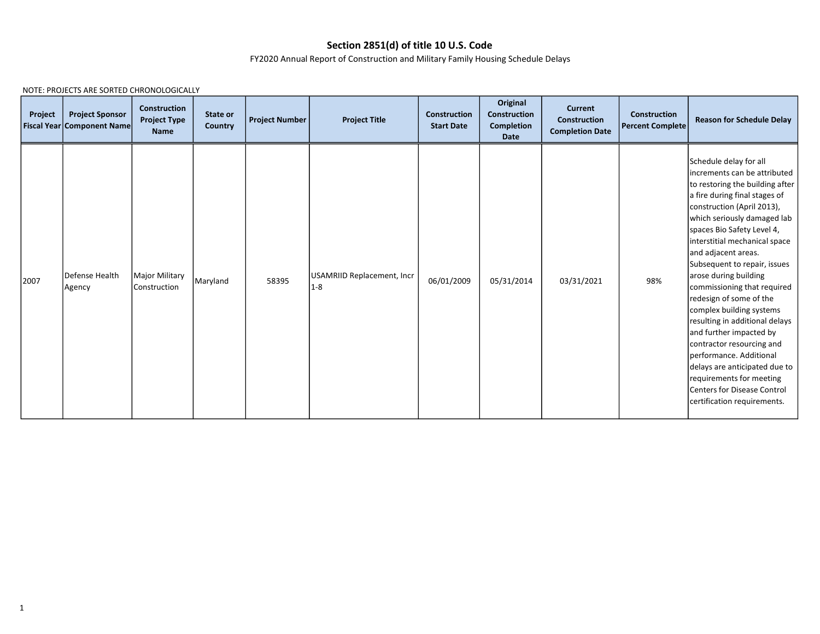### Section 2851(d) of title 10 U.S. Code

FY2020 Annual Report of Construction and Military Family Housing Schedule Delays

| Project | <b>Project Sponsor</b><br><b>Fiscal Year Component Name</b> | <b>Construction</b><br><b>Project Type</b><br><b>Name</b> | State or<br>Country | <b>Project Number</b> | <b>Project Title</b>                | <b>Construction</b><br><b>Start Date</b> | Original<br><b>Construction</b><br><b>Completion</b><br><b>Date</b> | <b>Current</b><br><b>Construction</b><br><b>Completion Date</b> | <b>Construction</b><br><b>Percent Complete</b> | <b>Reason for Schedule Delay</b>                                                                                                                                                                                                                                                                                                                                                                                                                                                                                                                                                                                                                                              |
|---------|-------------------------------------------------------------|-----------------------------------------------------------|---------------------|-----------------------|-------------------------------------|------------------------------------------|---------------------------------------------------------------------|-----------------------------------------------------------------|------------------------------------------------|-------------------------------------------------------------------------------------------------------------------------------------------------------------------------------------------------------------------------------------------------------------------------------------------------------------------------------------------------------------------------------------------------------------------------------------------------------------------------------------------------------------------------------------------------------------------------------------------------------------------------------------------------------------------------------|
| 2007    | Defense Health<br>Agency                                    | Major Military<br>Construction                            | Maryland            | 58395                 | USAMRIID Replacement, Incr<br>$1-8$ | 06/01/2009                               | 05/31/2014                                                          | 03/31/2021                                                      | 98%                                            | Schedule delay for all<br>increments can be attributed<br>to restoring the building after<br>a fire during final stages of<br>construction (April 2013),<br>which seriously damaged lab<br>spaces Bio Safety Level 4,<br>interstitial mechanical space<br>and adjacent areas.<br>Subsequent to repair, issues<br>arose during building<br>commissioning that required<br>redesign of some of the<br>complex building systems<br>resulting in additional delays<br>and further impacted by<br>contractor resourcing and<br>performance. Additional<br>delays are anticipated due to<br>requirements for meeting<br>lCenters for Disease Control<br>certification requirements. |

NOTE: PROJECTS ARE SORTED CHRONOLOGICALLY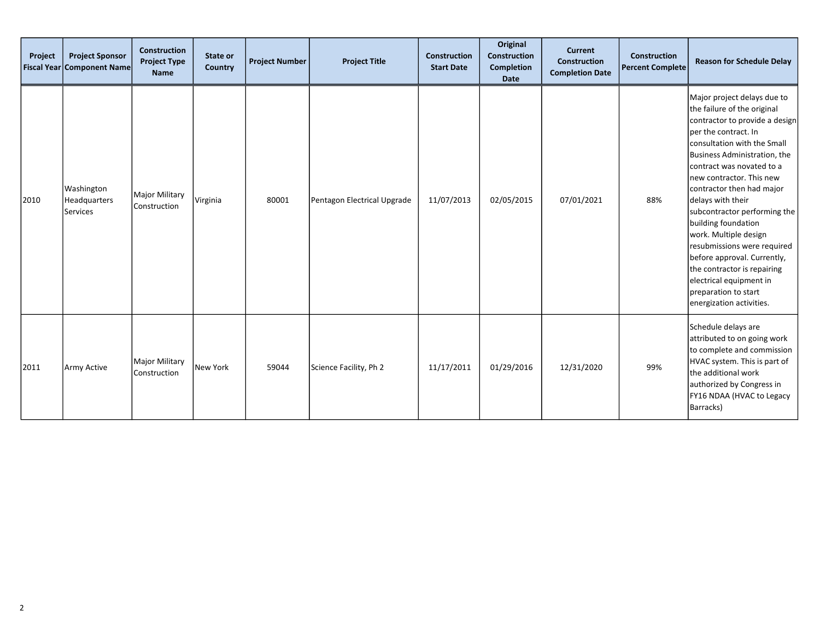| Project | <b>Project Sponsor</b><br><b>Fiscal Year Component Name</b> | <b>Construction</b><br><b>Project Type</b><br><b>Name</b> | State or<br><b>Country</b> | <b>Project Number</b> | <b>Project Title</b>        | <b>Construction</b><br><b>Start Date</b> | Original<br><b>Construction</b><br>Completion<br>Date | <b>Current</b><br><b>Construction</b><br><b>Completion Date</b> | <b>Construction</b><br><b>Percent Complete</b> | <b>Reason for Schedule Delay</b>                                                                                                                                                                                                                                                                                                                                                                                                                                                                                                                            |
|---------|-------------------------------------------------------------|-----------------------------------------------------------|----------------------------|-----------------------|-----------------------------|------------------------------------------|-------------------------------------------------------|-----------------------------------------------------------------|------------------------------------------------|-------------------------------------------------------------------------------------------------------------------------------------------------------------------------------------------------------------------------------------------------------------------------------------------------------------------------------------------------------------------------------------------------------------------------------------------------------------------------------------------------------------------------------------------------------------|
| 2010    | Washington<br>Headquarters<br><b>Services</b>               | <b>Major Military</b><br>Construction                     | Virginia                   | 80001                 | Pentagon Electrical Upgrade | 11/07/2013                               | 02/05/2015                                            | 07/01/2021                                                      | 88%                                            | Major project delays due to<br>the failure of the original<br>contractor to provide a design<br>per the contract. In<br>consultation with the Small<br>Business Administration, the<br>contract was novated to a<br>lnew contractor. This new<br>contractor then had major<br>delays with their<br>subcontractor performing the<br>building foundation<br>work. Multiple design<br>resubmissions were required<br>before approval. Currently,<br>the contractor is repairing<br>electrical equipment in<br>preparation to start<br>energization activities. |
| 2011    | Army Active                                                 | <b>Major Military</b><br>Construction                     | New York                   | 59044                 | Science Facility, Ph 2      | 11/17/2011                               | 01/29/2016                                            | 12/31/2020                                                      | 99%                                            | Schedule delays are<br>attributed to on going work<br>to complete and commission<br>HVAC system. This is part of<br>the additional work<br>authorized by Congress in<br>FY16 NDAA (HVAC to Legacy<br>Barracks)                                                                                                                                                                                                                                                                                                                                              |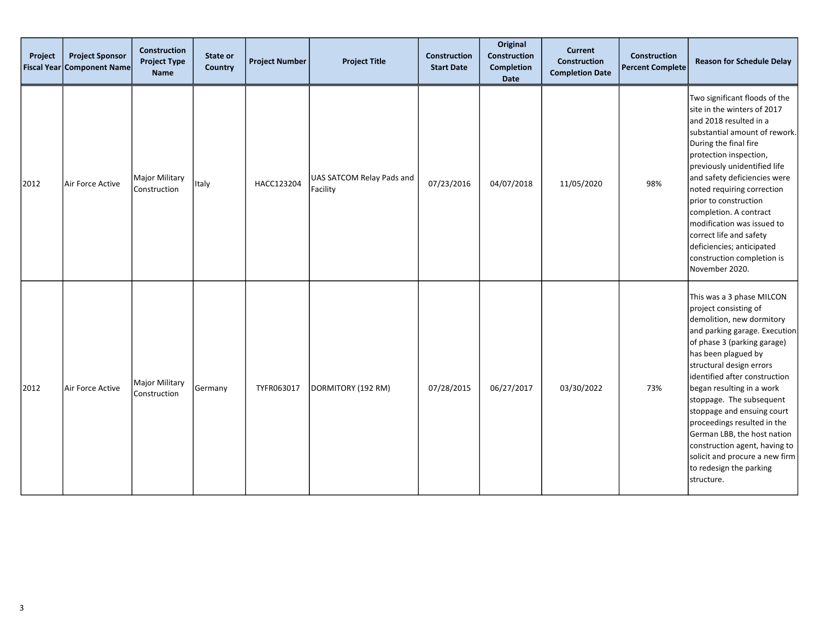| Project<br><b>Fiscal Year</b> | <b>Project Sponsor</b><br><b>Component Name</b> | <b>Construction</b><br><b>Project Type</b><br>Name | State or<br>Country | <b>Project Number</b> | <b>Project Title</b>                  | <b>Construction</b><br><b>Start Date</b> | Original<br>Construction<br><b>Completion</b><br>Date | <b>Current</b><br><b>Construction</b><br><b>Completion Date</b> | <b>Construction</b><br><b>Percent Complete</b> | <b>Reason for Schedule Delay</b>                                                                                                                                                                                                                                                                                                                                                                                                                                                                     |
|-------------------------------|-------------------------------------------------|----------------------------------------------------|---------------------|-----------------------|---------------------------------------|------------------------------------------|-------------------------------------------------------|-----------------------------------------------------------------|------------------------------------------------|------------------------------------------------------------------------------------------------------------------------------------------------------------------------------------------------------------------------------------------------------------------------------------------------------------------------------------------------------------------------------------------------------------------------------------------------------------------------------------------------------|
| 2012                          | Air Force Active                                | <b>Major Military</b><br>Construction              | Italy               | HACC123204            | UAS SATCOM Relay Pads and<br>Facility | 07/23/2016                               | 04/07/2018                                            | 11/05/2020                                                      | 98%                                            | Two significant floods of the<br>site in the winters of 2017<br>and 2018 resulted in a<br>substantial amount of rework.<br>During the final fire<br>protection inspection,<br>previously unidentified life<br>and safety deficiencies were<br>noted requiring correction<br>prior to construction<br>completion. A contract<br>modification was issued to<br>correct life and safety<br>deficiencies; anticipated<br>construction completion is<br>November 2020.                                    |
| 2012                          | Air Force Active                                | Major Military<br>Construction                     | Germany             | TYFR063017            | DORMITORY (192 RM)                    | 07/28/2015                               | 06/27/2017                                            | 03/30/2022                                                      | 73%                                            | This was a 3 phase MILCON<br>project consisting of<br>demolition, new dormitory<br>and parking garage. Execution<br>of phase 3 (parking garage)<br>has been plagued by<br>structural design errors<br>identified after construction<br>began resulting in a work<br>stoppage. The subsequent<br>stoppage and ensuing court<br>proceedings resulted in the<br>German LBB, the host nation<br>construction agent, having to<br>solicit and procure a new firm<br>to redesign the parking<br>structure. |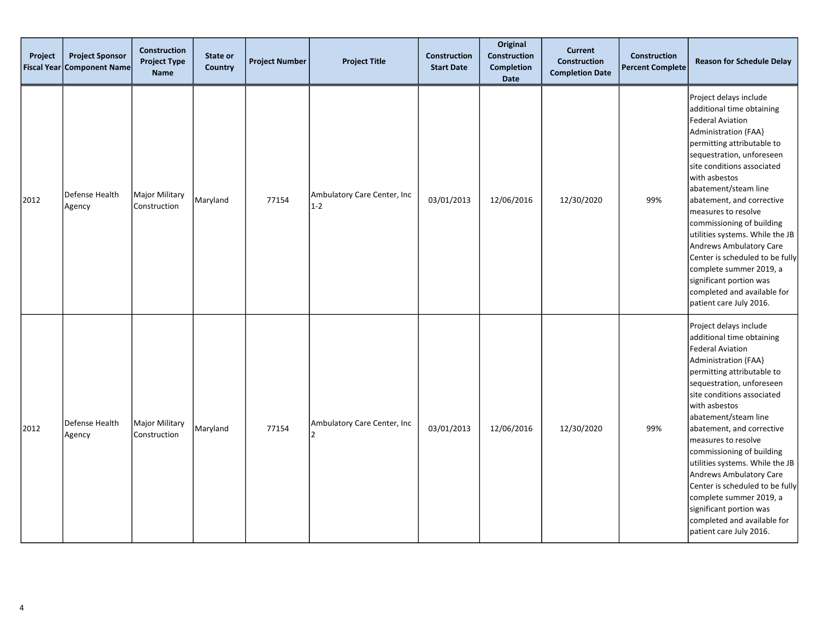| Project<br><b>Fiscal Year</b> | <b>Project Sponsor</b><br><b>Component Name</b> | <b>Construction</b><br><b>Project Type</b><br><b>Name</b> | State or<br><b>Country</b> | <b>Project Number</b> | <b>Project Title</b>                        | <b>Construction</b><br><b>Start Date</b> | Original<br>Construction<br><b>Completion</b><br><b>Date</b> | <b>Current</b><br><b>Construction</b><br><b>Completion Date</b> | Construction<br><b>Percent Complete</b> | <b>Reason for Schedule Delay</b>                                                                                                                                                                                                                                                                                                                                                                                                                                                                                                                  |
|-------------------------------|-------------------------------------------------|-----------------------------------------------------------|----------------------------|-----------------------|---------------------------------------------|------------------------------------------|--------------------------------------------------------------|-----------------------------------------------------------------|-----------------------------------------|---------------------------------------------------------------------------------------------------------------------------------------------------------------------------------------------------------------------------------------------------------------------------------------------------------------------------------------------------------------------------------------------------------------------------------------------------------------------------------------------------------------------------------------------------|
| 2012                          | Defense Health<br>Agency                        | <b>Major Military</b><br>Construction                     | Maryland                   | 77154                 | Ambulatory Care Center, Inc<br>$1-2$        | 03/01/2013                               | 12/06/2016                                                   | 12/30/2020                                                      | 99%                                     | Project delays include<br>additional time obtaining<br><b>Federal Aviation</b><br><b>Administration (FAA)</b><br>permitting attributable to<br>sequestration, unforeseen<br>site conditions associated<br>with asbestos<br>abatement/steam line<br>abatement, and corrective<br>measures to resolve<br>commissioning of building<br>utilities systems. While the JB<br>Andrews Ambulatory Care<br>Center is scheduled to be fully<br>complete summer 2019, a<br>significant portion was<br>completed and available for<br>patient care July 2016. |
| 2012                          | Defense Health<br>Agency                        | <b>Major Military</b><br>Construction                     | Maryland                   | 77154                 | Ambulatory Care Center, Inc<br><sup>2</sup> | 03/01/2013                               | 12/06/2016                                                   | 12/30/2020                                                      | 99%                                     | Project delays include<br>additional time obtaining<br><b>Federal Aviation</b><br>Administration (FAA}<br>permitting attributable to<br>sequestration, unforeseen<br>site conditions associated<br>with asbestos<br>abatement/steam line<br>abatement, and corrective<br>measures to resolve<br>commissioning of building<br>utilities systems. While the JB<br>Andrews Ambulatory Care<br>Center is scheduled to be fully<br>complete summer 2019, a<br>significant portion was<br>completed and available for<br>patient care July 2016.        |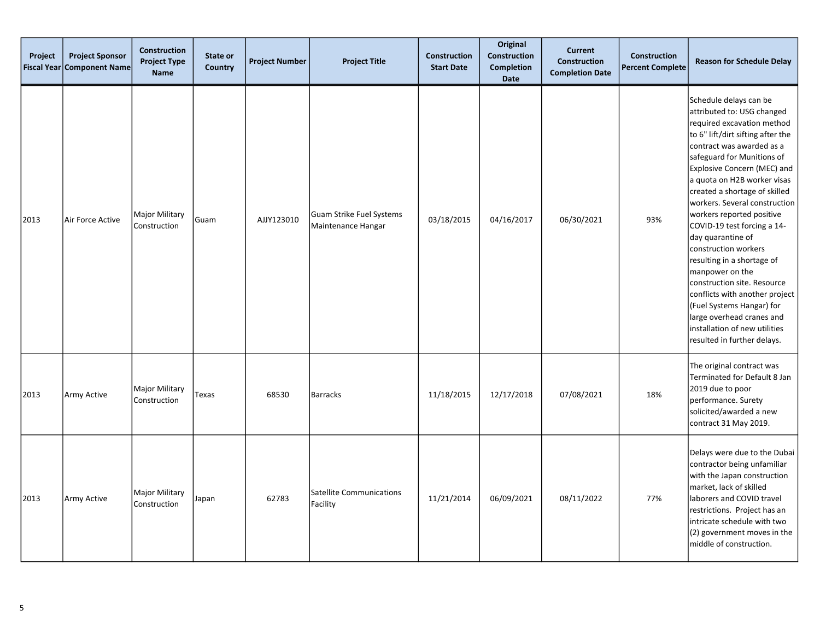| Project<br><b>Fiscal Year</b> | <b>Project Sponsor</b><br><b>Component Name</b> | <b>Construction</b><br><b>Project Type</b><br>Name | State or<br>Country | <b>Project Number</b> | <b>Project Title</b>                           | <b>Construction</b><br><b>Start Date</b> | Original<br>Construction<br><b>Completion</b><br><b>Date</b> | <b>Current</b><br><b>Construction</b><br><b>Completion Date</b> | <b>Construction</b><br><b>Percent Complete</b> | <b>Reason for Schedule Delay</b>                                                                                                                                                                                                                                                                                                                                                                                                                                                                                                                                                                                                                                        |
|-------------------------------|-------------------------------------------------|----------------------------------------------------|---------------------|-----------------------|------------------------------------------------|------------------------------------------|--------------------------------------------------------------|-----------------------------------------------------------------|------------------------------------------------|-------------------------------------------------------------------------------------------------------------------------------------------------------------------------------------------------------------------------------------------------------------------------------------------------------------------------------------------------------------------------------------------------------------------------------------------------------------------------------------------------------------------------------------------------------------------------------------------------------------------------------------------------------------------------|
| 2013                          | Air Force Active                                | Major Military<br>Construction                     | Guam                | AJJY123010            | Guam Strike Fuel Systems<br>Maintenance Hangar | 03/18/2015                               | 04/16/2017                                                   | 06/30/2021                                                      | 93%                                            | Schedule delays can be<br>attributed to: USG changed<br>required excavation method<br>to 6" lift/dirt sifting after the<br>contract was awarded as a<br>safeguard for Munitions of<br>Explosive Concern (MEC) and<br>a quota on H2B worker visas<br>created a shortage of skilled<br>workers. Several construction<br>workers reported positive<br>COVID-19 test forcing a 14-<br>day quarantine of<br>construction workers<br>resulting in a shortage of<br>manpower on the<br>construction site. Resource<br>conflicts with another project<br>(Fuel Systems Hangar) for<br>large overhead cranes and<br>installation of new utilities<br>resulted in further delays. |
| 2013                          | Army Active                                     | Major Military<br>Construction                     | Texas               | 68530                 | <b>Barracks</b>                                | 11/18/2015                               | 12/17/2018                                                   | 07/08/2021                                                      | 18%                                            | The original contract was<br>Terminated for Default 8 Jan<br>2019 due to poor<br>performance. Surety<br>solicited/awarded a new<br>contract 31 May 2019.                                                                                                                                                                                                                                                                                                                                                                                                                                                                                                                |
| 2013                          | Army Active                                     | Major Military<br>Construction                     | Japan               | 62783                 | Satellite Communications<br>Facility           | 11/21/2014                               | 06/09/2021                                                   | 08/11/2022                                                      | 77%                                            | Delays were due to the Dubai<br>contractor being unfamiliar<br>with the Japan construction<br>market, lack of skilled<br>laborers and COVID travel<br>restrictions. Project has an<br>intricate schedule with two<br>(2) government moves in the<br>middle of construction.                                                                                                                                                                                                                                                                                                                                                                                             |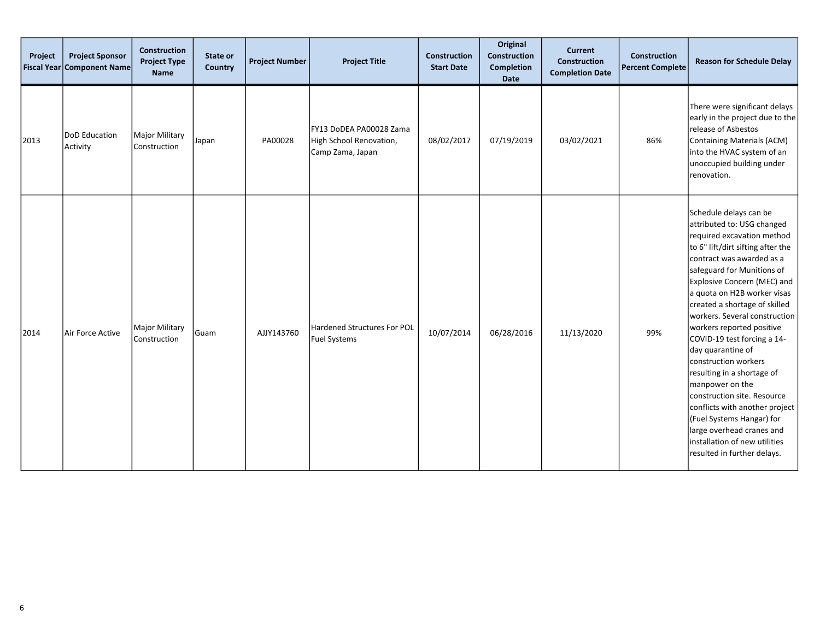| Project | <b>Project Sponsor</b><br>Fiscal Year Component Name | <b>Construction</b><br><b>Project Type</b><br><b>Name</b> | State or<br><b>Country</b> | <b>Project Number</b> | <b>Project Title</b>                                                   | <b>Construction</b><br><b>Start Date</b> | Original<br><b>Construction</b><br><b>Completion</b><br>Date | <b>Current</b><br>Construction<br><b>Completion Date</b> | <b>Construction</b><br><b>Percent Complete</b> | <b>Reason for Schedule Delay</b>                                                                                                                                                                                                                                                                                                                                                                                                                                                                                                                                                                                                                                        |
|---------|------------------------------------------------------|-----------------------------------------------------------|----------------------------|-----------------------|------------------------------------------------------------------------|------------------------------------------|--------------------------------------------------------------|----------------------------------------------------------|------------------------------------------------|-------------------------------------------------------------------------------------------------------------------------------------------------------------------------------------------------------------------------------------------------------------------------------------------------------------------------------------------------------------------------------------------------------------------------------------------------------------------------------------------------------------------------------------------------------------------------------------------------------------------------------------------------------------------------|
| 2013    | DoD Education<br>Activity                            | Major Military<br>Construction                            | Japan                      | PA00028               | FY13 DoDEA PA00028 Zama<br>High School Renovation,<br>Camp Zama, Japan | 08/02/2017                               | 07/19/2019                                                   | 03/02/2021                                               | 86%                                            | There were significant delays<br>early in the project due to the<br>release of Asbestos<br>Containing Materials (ACM)<br>into the HVAC system of an<br>unoccupied building under<br>renovation.                                                                                                                                                                                                                                                                                                                                                                                                                                                                         |
| 2014    | Air Force Active                                     | <b>Major Military</b><br>Construction                     | Guam                       | AJJY143760            | Hardened Structures For POL<br><b>Fuel Systems</b>                     | 10/07/2014                               | 06/28/2016                                                   | 11/13/2020                                               | 99%                                            | Schedule delays can be<br>attributed to: USG changed<br>required excavation method<br>to 6" lift/dirt sifting after the<br>contract was awarded as a<br>safeguard for Munitions of<br>Explosive Concern (MEC) and<br>a quota on H2B worker visas<br>created a shortage of skilled<br>workers. Several construction<br>workers reported positive<br>COVID-19 test forcing a 14-<br>day quarantine of<br>construction workers<br>resulting in a shortage of<br>manpower on the<br>construction site. Resource<br>conflicts with another project<br>(Fuel Systems Hangar) for<br>large overhead cranes and<br>installation of new utilities<br>resulted in further delays. |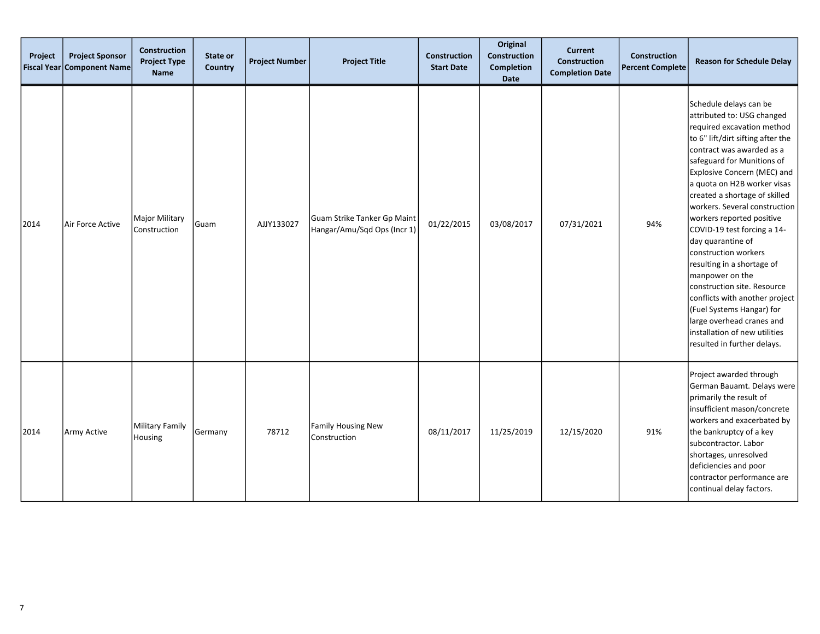| Project<br><b>Fiscal Year</b> | <b>Project Sponsor</b><br>Component Name | <b>Construction</b><br><b>Project Type</b><br><b>Name</b> | State or<br><b>Country</b> | <b>Project Number</b> | <b>Project Title</b>                                       | <b>Construction</b><br><b>Start Date</b> | Original<br>Construction<br><b>Completion</b><br>Date | <b>Current</b><br><b>Construction</b><br><b>Completion Date</b> | Construction<br><b>Percent Complete</b> | <b>Reason for Schedule Delay</b>                                                                                                                                                                                                                                                                                                                                                                                                                                                                                                                                                                                                                                        |
|-------------------------------|------------------------------------------|-----------------------------------------------------------|----------------------------|-----------------------|------------------------------------------------------------|------------------------------------------|-------------------------------------------------------|-----------------------------------------------------------------|-----------------------------------------|-------------------------------------------------------------------------------------------------------------------------------------------------------------------------------------------------------------------------------------------------------------------------------------------------------------------------------------------------------------------------------------------------------------------------------------------------------------------------------------------------------------------------------------------------------------------------------------------------------------------------------------------------------------------------|
| 2014                          | Air Force Active                         | Major Military<br>Construction                            | Guam                       | AJJY133027            | Guam Strike Tanker Gp Maint<br>Hangar/Amu/Sqd Ops (Incr 1) | 01/22/2015                               | 03/08/2017                                            | 07/31/2021                                                      | 94%                                     | Schedule delays can be<br>attributed to: USG changed<br>required excavation method<br>to 6" lift/dirt sifting after the<br>contract was awarded as a<br>safeguard for Munitions of<br>Explosive Concern (MEC) and<br>a quota on H2B worker visas<br>created a shortage of skilled<br>workers. Several construction<br>workers reported positive<br>COVID-19 test forcing a 14-<br>day quarantine of<br>construction workers<br>resulting in a shortage of<br>manpower on the<br>construction site. Resource<br>conflicts with another project<br>(Fuel Systems Hangar) for<br>large overhead cranes and<br>Installation of new utilities<br>resulted in further delays. |
| 2014                          | Army Active                              | Military Family<br>Housing                                | Germany                    | 78712                 | <b>Family Housing New</b><br>Construction                  | 08/11/2017                               | 11/25/2019                                            | 12/15/2020                                                      | 91%                                     | Project awarded through<br>German Bauamt. Delays were<br>primarily the result of<br>insufficient mason/concrete<br>workers and exacerbated by<br>the bankruptcy of a key<br>subcontractor. Labor<br>shortages, unresolved<br>deficiencies and poor<br>contractor performance are<br>continual delay factors.                                                                                                                                                                                                                                                                                                                                                            |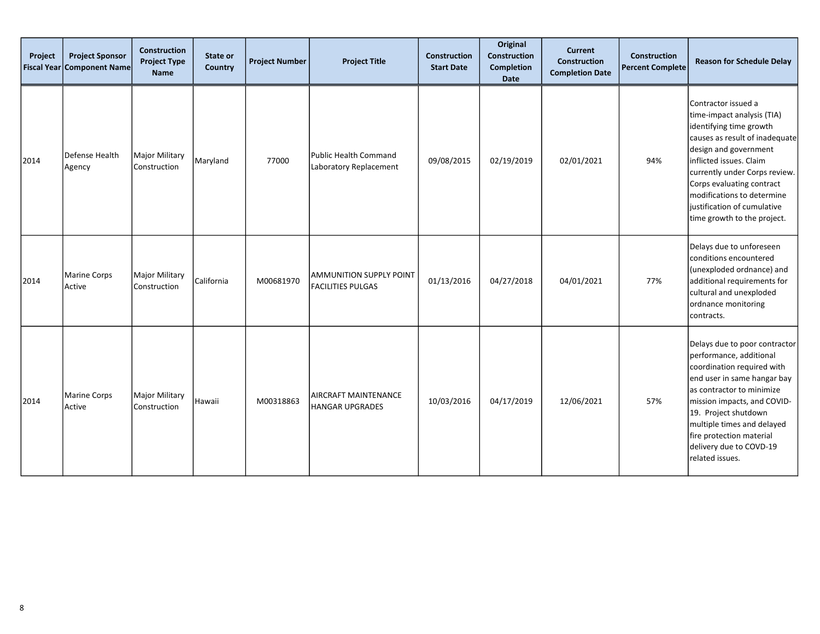| Project<br><b>Fiscal Year</b> | <b>Project Sponsor</b><br><b>Component Name</b> | Construction<br><b>Project Type</b><br><b>Name</b> | State or<br>Country | <b>Project Number</b> | <b>Project Title</b>                                       | <b>Construction</b><br><b>Start Date</b> | Original<br>Construction<br><b>Completion</b><br>Date | <b>Current</b><br><b>Construction</b><br><b>Completion Date</b> | <b>Construction</b><br><b>Percent Complete</b> | <b>Reason for Schedule Delay</b>                                                                                                                                                                                                                                                                                             |
|-------------------------------|-------------------------------------------------|----------------------------------------------------|---------------------|-----------------------|------------------------------------------------------------|------------------------------------------|-------------------------------------------------------|-----------------------------------------------------------------|------------------------------------------------|------------------------------------------------------------------------------------------------------------------------------------------------------------------------------------------------------------------------------------------------------------------------------------------------------------------------------|
| 2014                          | Defense Health<br>Agency                        | Major Military<br>Construction                     | Maryland            | 77000                 | Public Health Command<br>Laboratory Replacement            | 09/08/2015                               | 02/19/2019                                            | 02/01/2021                                                      | 94%                                            | Contractor issued a<br>time-impact analysis (TIA)<br>identifying time growth<br>causes as result of inadequate<br>design and government<br>inflicted issues. Claim<br>currently under Corps review.<br>Corps evaluating contract<br>modifications to determine<br>justification of cumulative<br>time growth to the project. |
| 2014                          | Marine Corps<br>Active                          | Major Military<br>Construction                     | California          | M00681970             | <b>AMMUNITION SUPPLY POINT</b><br><b>FACILITIES PULGAS</b> | 01/13/2016                               | 04/27/2018                                            | 04/01/2021                                                      | 77%                                            | Delays due to unforeseen<br>conditions encountered<br>(unexploded ordnance) and<br>additional requirements for<br>cultural and unexploded<br>ordnance monitoring<br>contracts.                                                                                                                                               |
| 2014                          | Marine Corps<br>Active                          | Major Military<br>Construction                     | Hawaii              | M00318863             | AIRCRAFT MAINTENANCE<br><b>HANGAR UPGRADES</b>             | 10/03/2016                               | 04/17/2019                                            | 12/06/2021                                                      | 57%                                            | Delays due to poor contractor<br>performance, additional<br>coordination required with<br>end user in same hangar bay<br>as contractor to minimize<br>mission impacts, and COVID-<br>19. Project shutdown<br>multiple times and delayed<br>fire protection material<br>delivery due to COVD-19<br>related issues.            |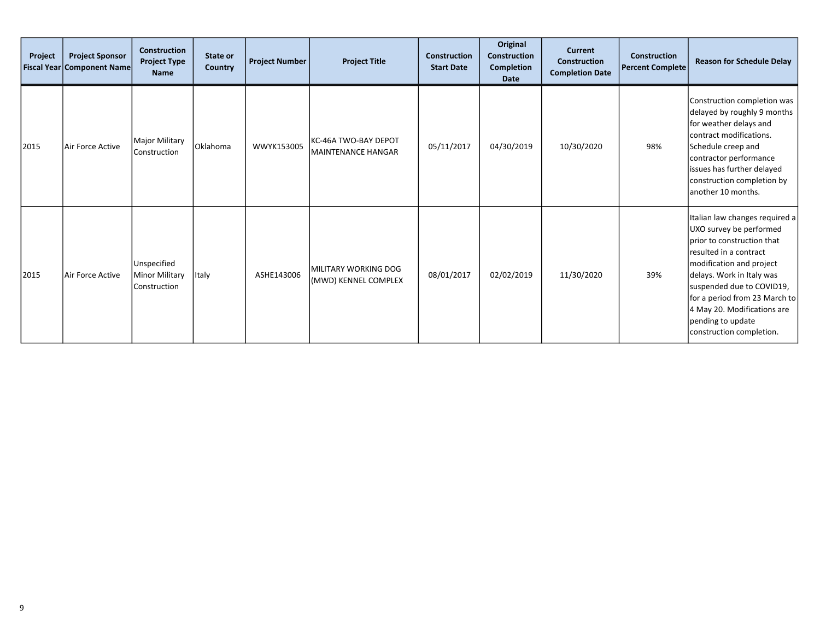| Project | <b>Project Sponsor</b><br><b>Fiscal Year Component Name</b> | <b>Construction</b><br><b>Project Type</b><br><b>Name</b> | State or<br><b>Country</b> | <b>Project Number</b> | <b>Project Title</b>                                | <b>Construction</b><br><b>Start Date</b> | Original<br><b>Construction</b><br><b>Completion</b><br>Date | <b>Current</b><br><b>Construction</b><br><b>Completion Date</b> | Construction<br><b>Percent Complete</b> | <b>Reason for Schedule Delay</b>                                                                                                                                                                                                                                                                                         |
|---------|-------------------------------------------------------------|-----------------------------------------------------------|----------------------------|-----------------------|-----------------------------------------------------|------------------------------------------|--------------------------------------------------------------|-----------------------------------------------------------------|-----------------------------------------|--------------------------------------------------------------------------------------------------------------------------------------------------------------------------------------------------------------------------------------------------------------------------------------------------------------------------|
| 2015    | Air Force Active                                            | <b>Major Military</b><br>Construction                     | Oklahoma                   | WWYK153005            | KC-46A TWO-BAY DEPOT<br><b>MAINTENANCE HANGAR</b>   | 05/11/2017                               | 04/30/2019                                                   | 10/30/2020                                                      | 98%                                     | Construction completion was<br>delayed by roughly 9 months<br>for weather delays and<br>lcontract modifications.<br>Schedule creep and<br>contractor performance<br>issues has further delayed<br>construction completion by<br>another 10 months.                                                                       |
| 2015    | Air Force Active                                            | Unspecified<br>Minor Military<br>Construction             | Italy                      | ASHE143006            | <b>MILITARY WORKING DOG</b><br>(MWD) KENNEL COMPLEX | 08/01/2017                               | 02/02/2019                                                   | 11/30/2020                                                      | 39%                                     | Italian law changes required a<br>UXO survey be performed<br>prior to construction that<br>resulted in a contract<br>modification and project<br>delays. Work in Italy was<br>suspended due to COVID19,<br>for a period from 23 March to<br>4 May 20. Modifications are<br>pending to update<br>construction completion. |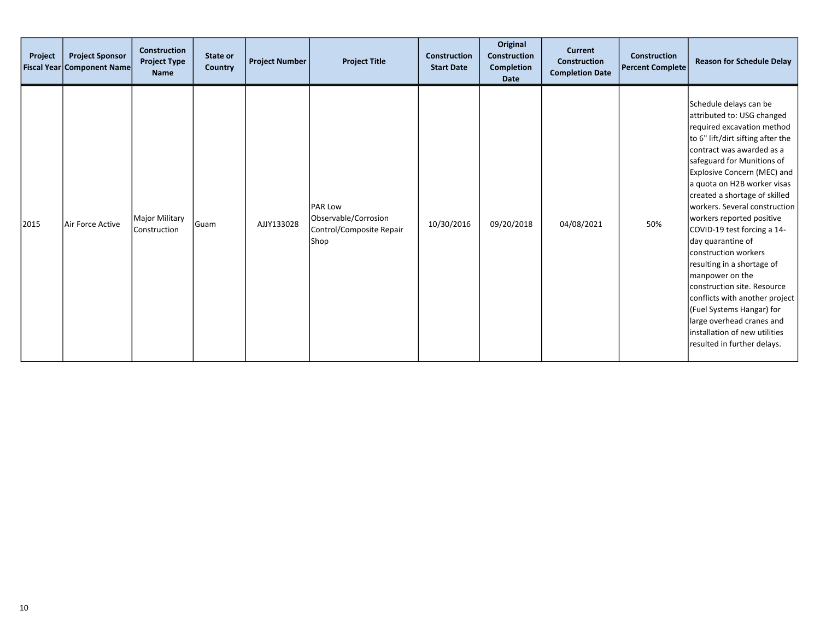| Project | <b>Project Sponsor</b><br>Fiscal Year Component Name | <b>Construction</b><br><b>Project Type</b><br><b>Name</b> | State or<br>Country | <b>Project Number</b> | <b>Project Title</b>                                                       | <b>Construction</b><br><b>Start Date</b> | Original<br><b>Construction</b><br>Completion<br><b>Date</b> | <b>Current</b><br>Construction<br><b>Completion Date</b> | <b>Construction</b><br><b>Percent Complete</b> | <b>Reason for Schedule Delay</b>                                                                                                                                                                                                                                                                                                                                                                                                                                                                                                                                                                                                                                           |
|---------|------------------------------------------------------|-----------------------------------------------------------|---------------------|-----------------------|----------------------------------------------------------------------------|------------------------------------------|--------------------------------------------------------------|----------------------------------------------------------|------------------------------------------------|----------------------------------------------------------------------------------------------------------------------------------------------------------------------------------------------------------------------------------------------------------------------------------------------------------------------------------------------------------------------------------------------------------------------------------------------------------------------------------------------------------------------------------------------------------------------------------------------------------------------------------------------------------------------------|
| 2015    | Air Force Active                                     | Major Military<br>Construction                            | Guam                | AJJY133028            | <b>PAR Low</b><br>Observable/Corrosion<br>Control/Composite Repair<br>Shop | 10/30/2016                               | 09/20/2018                                                   | 04/08/2021                                               | 50%                                            | Schedule delays can be<br>attributed to: USG changed<br>required excavation method<br>to 6" lift/dirt sifting after the<br>contract was awarded as a<br>safeguard for Munitions of<br>Explosive Concern (MEC) and<br>a quota on H2B worker visas<br>created a shortage of skilled<br> workers. Several construction  <br>workers reported positive<br>COVID-19 test forcing a 14-<br>day quarantine of<br>construction workers<br>resulting in a shortage of<br>manpower on the<br>construction site. Resource<br>conflicts with another project<br>(Fuel Systems Hangar) for<br>large overhead cranes and<br>installation of new utilities<br>resulted in further delays. |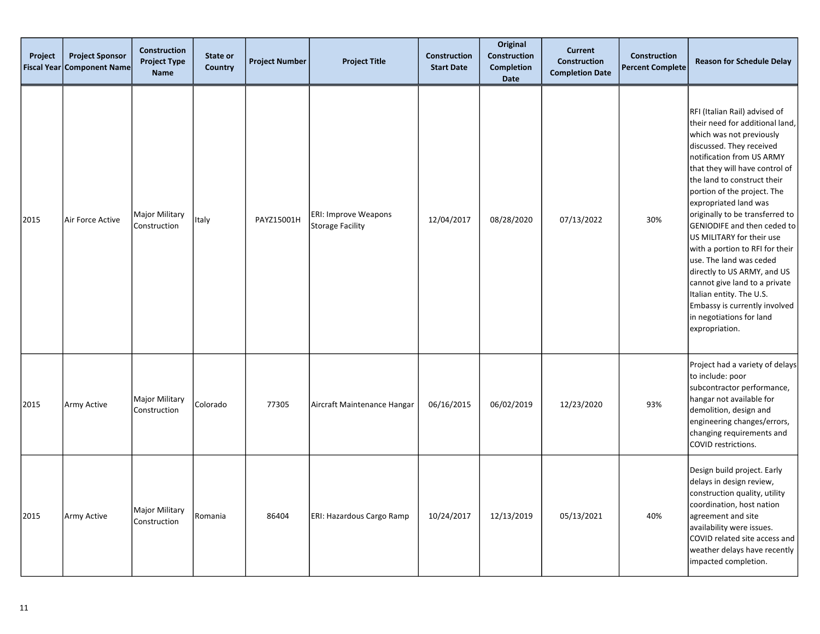| Project<br><b>Fiscal Year</b> | <b>Project Sponsor</b><br><b>Component Name</b> | <b>Construction</b><br><b>Project Type</b><br><b>Name</b> | State or<br><b>Country</b> | <b>Project Number</b> | <b>Project Title</b>                            | <b>Construction</b><br><b>Start Date</b> | Original<br><b>Construction</b><br><b>Completion</b><br><b>Date</b> | <b>Current</b><br><b>Construction</b><br><b>Completion Date</b> | <b>Construction</b><br><b>Percent Complete</b> | <b>Reason for Schedule Delay</b>                                                                                                                                                                                                                                                                                                                                                                                                                                                                                                                                                                                       |
|-------------------------------|-------------------------------------------------|-----------------------------------------------------------|----------------------------|-----------------------|-------------------------------------------------|------------------------------------------|---------------------------------------------------------------------|-----------------------------------------------------------------|------------------------------------------------|------------------------------------------------------------------------------------------------------------------------------------------------------------------------------------------------------------------------------------------------------------------------------------------------------------------------------------------------------------------------------------------------------------------------------------------------------------------------------------------------------------------------------------------------------------------------------------------------------------------------|
| 2015                          | Air Force Active                                | <b>Major Military</b><br>Construction                     | Italy                      | PAYZ15001H            | ERI: Improve Weapons<br><b>Storage Facility</b> | 12/04/2017                               | 08/28/2020                                                          | 07/13/2022                                                      | 30%                                            | RFI (Italian Rail) advised of<br>their need for additional land,<br>which was not previously<br>discussed. They received<br>notification from US ARMY<br>that they will have control of<br>the land to construct their<br>portion of the project. The<br>expropriated land was<br>originally to be transferred to<br>GENIODIFE and then ceded to<br>US MILITARY for their use<br>with a portion to RFI for their<br>use. The land was ceded<br>directly to US ARMY, and US<br>cannot give land to a private<br>Italian entity. The U.S.<br>Embassy is currently involved<br>in negotiations for land<br>expropriation. |
| 2015                          | Army Active                                     | <b>Major Military</b><br>Construction                     | Colorado                   | 77305                 | Aircraft Maintenance Hangar                     | 06/16/2015                               | 06/02/2019                                                          | 12/23/2020                                                      | 93%                                            | Project had a variety of delays<br>to include: poor<br>subcontractor performance,<br>hangar not available for<br>demolition, design and<br>engineering changes/errors,<br>changing requirements and<br>COVID restrictions.                                                                                                                                                                                                                                                                                                                                                                                             |
| 2015                          | Army Active                                     | <b>Major Military</b><br>Construction                     | Romania                    | 86404                 | ERI: Hazardous Cargo Ramp                       | 10/24/2017                               | 12/13/2019                                                          | 05/13/2021                                                      | 40%                                            | Design build project. Early<br>delays in design review,<br>construction quality, utility<br>coordination, host nation<br>agreement and site<br>availability were issues.<br>COVID related site access and<br>weather delays have recently<br>impacted completion.                                                                                                                                                                                                                                                                                                                                                      |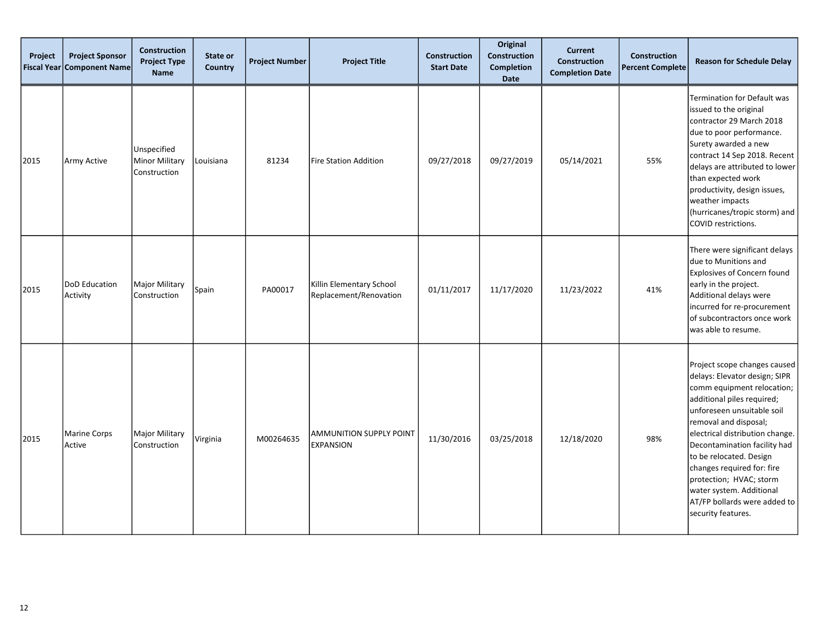| Project<br><b>Fiscal Year</b> | <b>Project Sponsor</b><br><b>Component Name</b> | <b>Construction</b><br><b>Project Type</b><br><b>Name</b> | <b>State or</b><br>Country | <b>Project Number</b> | <b>Project Title</b>                               | <b>Construction</b><br><b>Start Date</b> | Original<br><b>Construction</b><br><b>Completion</b><br><b>Date</b> | <b>Current</b><br><b>Construction</b><br><b>Completion Date</b> | <b>Construction</b><br><b>Percent Complete</b> | <b>Reason for Schedule Delay</b>                                                                                                                                                                                                                                                                                                                                                                                          |
|-------------------------------|-------------------------------------------------|-----------------------------------------------------------|----------------------------|-----------------------|----------------------------------------------------|------------------------------------------|---------------------------------------------------------------------|-----------------------------------------------------------------|------------------------------------------------|---------------------------------------------------------------------------------------------------------------------------------------------------------------------------------------------------------------------------------------------------------------------------------------------------------------------------------------------------------------------------------------------------------------------------|
| 2015                          | Army Active                                     | Unspecified<br>Minor Military<br>Construction             | Louisiana                  | 81234                 | Fire Station Addition                              | 09/27/2018                               | 09/27/2019                                                          | 05/14/2021                                                      | 55%                                            | Termination for Default was<br>issued to the original<br>contractor 29 March 2018<br>due to poor performance.<br>Surety awarded a new<br>contract 14 Sep 2018. Recent<br>delays are attributed to lower<br>than expected work<br>productivity, design issues,<br>weather impacts<br>(hurricanes/tropic storm) and<br>COVID restrictions.                                                                                  |
| 2015                          | DoD Education<br>Activity                       | Major Military<br>Construction                            | Spain                      | PA00017               | Killin Elementary School<br>Replacement/Renovation | 01/11/2017                               | 11/17/2020                                                          | 11/23/2022                                                      | 41%                                            | There were significant delays<br>due to Munitions and<br>Explosives of Concern found<br>early in the project.<br>Additional delays were<br>incurred for re-procurement<br>of subcontractors once work<br>was able to resume.                                                                                                                                                                                              |
| 2015                          | <b>Marine Corps</b><br>Active                   | Major Military<br>Construction                            | Virginia                   | M00264635             | LAMMUNITION SUPPLY POINT<br><b>EXPANSION</b>       | 11/30/2016                               | 03/25/2018                                                          | 12/18/2020                                                      | 98%                                            | Project scope changes caused<br>delays: Elevator design; SIPR<br>comm equipment relocation;<br>additional piles required;<br>unforeseen unsuitable soil<br>removal and disposal;<br>electrical distribution change.<br>Decontamination facility had<br>to be relocated. Design<br>changes required for: fire<br>protection; HVAC; storm<br>water system. Additional<br>AT/FP bollards were added to<br>security features. |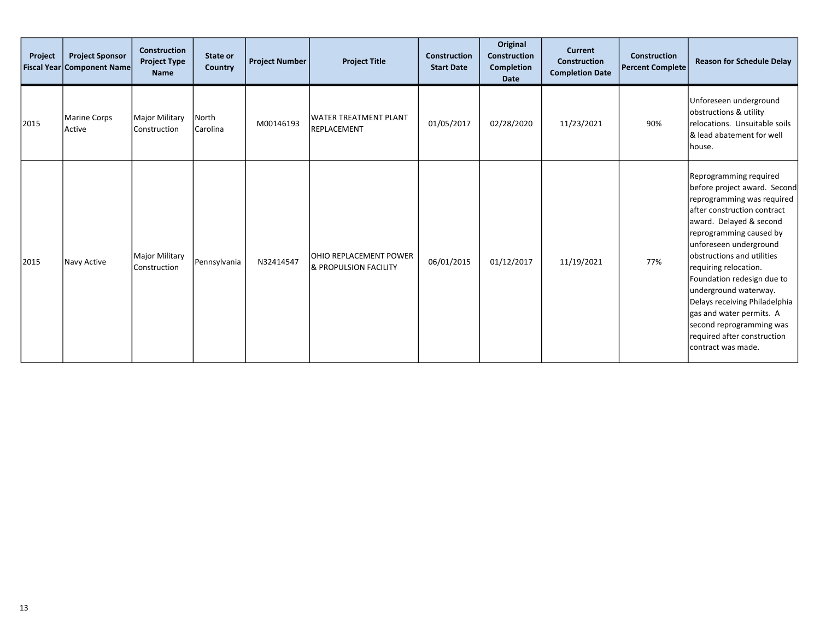| Project | <b>Project Sponsor</b><br><b>Fiscal Year Component Name</b> | <b>Construction</b><br><b>Project Type</b><br><b>Name</b> | State or<br>Country | <b>Project Number</b> | <b>Project Title</b>                                              | <b>Construction</b><br><b>Start Date</b> | Original<br><b>Construction</b><br><b>Completion</b><br><b>Date</b> | <b>Current</b><br><b>Construction</b><br><b>Completion Date</b> | Construction<br><b>Percent Complete</b> | <b>Reason for Schedule Delay</b>                                                                                                                                                                                                                                                                                                                                                                                                                                |
|---------|-------------------------------------------------------------|-----------------------------------------------------------|---------------------|-----------------------|-------------------------------------------------------------------|------------------------------------------|---------------------------------------------------------------------|-----------------------------------------------------------------|-----------------------------------------|-----------------------------------------------------------------------------------------------------------------------------------------------------------------------------------------------------------------------------------------------------------------------------------------------------------------------------------------------------------------------------------------------------------------------------------------------------------------|
| 2015    | <b>Marine Corps</b><br>Active                               | Major Military<br>Construction                            | North<br> Carolina  | M00146193             | <b>WATER TREATMENT PLANT</b><br>REPLACEMENT                       | 01/05/2017                               | 02/28/2020                                                          | 11/23/2021                                                      | 90%                                     | Unforeseen underground<br>obstructions & utility<br>relocations. Unsuitable soils<br>& lead abatement for well<br> house.                                                                                                                                                                                                                                                                                                                                       |
| 2015    | Navy Active                                                 | Major Military<br>Construction                            | Pennsylvania        | N32414547             | <b>OHIO REPLACEMENT POWER</b><br><b>&amp; PROPULSION FACILITY</b> | 06/01/2015                               | 01/12/2017                                                          | 11/19/2021                                                      | 77%                                     | Reprogramming required<br>before project award. Second<br>reprogramming was required<br>after construction contract<br>award. Delayed & second<br>reprogramming caused by<br>unforeseen underground<br>obstructions and utilities<br>requiring relocation.<br>Foundation redesign due to<br>underground waterway.<br>Delays receiving Philadelphia<br>gas and water permits. A<br>second reprogramming was<br>required after construction<br>contract was made. |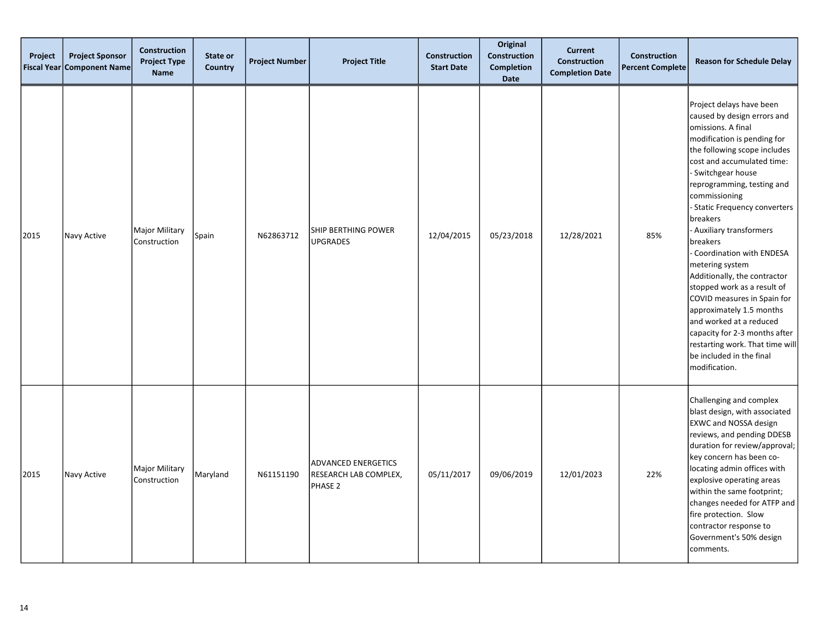| Project<br><b>Fiscal Year</b> | <b>Project Sponsor</b><br><b>Component Name</b> | <b>Construction</b><br><b>Project Type</b><br><b>Name</b> | State or<br>Country | <b>Project Number</b> | <b>Project Title</b>                                           | <b>Construction</b><br><b>Start Date</b> | Original<br>Construction<br><b>Completion</b><br>Date | <b>Current</b><br><b>Construction</b><br><b>Completion Date</b> | <b>Construction</b><br><b>Percent Complete</b> | <b>Reason for Schedule Delay</b>                                                                                                                                                                                                                                                                                                                                                                                                                                                                                                                                                                                                                        |
|-------------------------------|-------------------------------------------------|-----------------------------------------------------------|---------------------|-----------------------|----------------------------------------------------------------|------------------------------------------|-------------------------------------------------------|-----------------------------------------------------------------|------------------------------------------------|---------------------------------------------------------------------------------------------------------------------------------------------------------------------------------------------------------------------------------------------------------------------------------------------------------------------------------------------------------------------------------------------------------------------------------------------------------------------------------------------------------------------------------------------------------------------------------------------------------------------------------------------------------|
| 2015                          | Navy Active                                     | <b>Major Military</b><br>Construction                     | Spain               | N62863712             | <b>SHIP BERTHING POWER</b><br><b>UPGRADES</b>                  | 12/04/2015                               | 05/23/2018                                            | 12/28/2021                                                      | 85%                                            | Project delays have been<br>caused by design errors and<br>omissions. A final<br>modification is pending for<br>the following scope includes<br>cost and accumulated time:<br>Switchgear house<br>reprogramming, testing and<br>commissioning<br>- Static Frequency converters<br>breakers<br>- Auxiliary transformers<br>breakers<br>Coordination with ENDESA<br>metering system<br>Additionally, the contractor<br>stopped work as a result of<br>COVID measures in Spain for<br>approximately 1.5 months<br>and worked at a reduced<br>capacity for 2-3 months after<br>restarting work. That time will<br>be included in the final<br>modification. |
| 2015                          | Navy Active                                     | <b>Major Military</b><br>Construction                     | Maryland            | N61151190             | <b>ADVANCED ENERGETICS</b><br>RESEARCH LAB COMPLEX,<br>PHASE 2 | 05/11/2017                               | 09/06/2019                                            | 12/01/2023                                                      | 22%                                            | Challenging and complex<br>blast design, with associated<br><b>EXWC and NOSSA design</b><br>reviews, and pending DDESB<br>duration for review/approval;<br>key concern has been co-<br>locating admin offices with<br>explosive operating areas<br>within the same footprint;<br>changes needed for ATFP and<br>fire protection. Slow<br>contractor response to<br>Government's 50% design<br>comments.                                                                                                                                                                                                                                                 |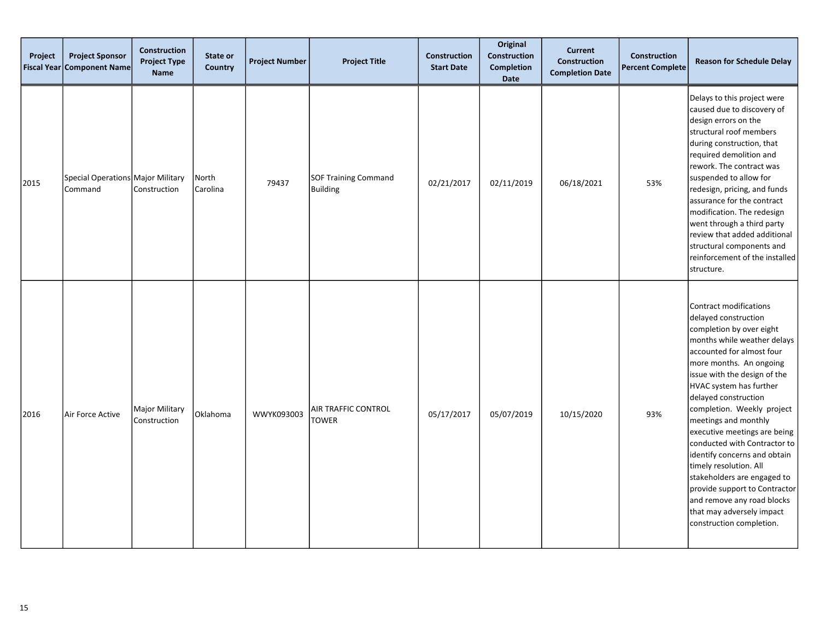| Project<br><b>Fiscal Year</b> | <b>Project Sponsor</b><br><b>Component Name</b> | <b>Construction</b><br><b>Project Type</b><br><b>Name</b> | State or<br><b>Country</b> | <b>Project Number</b> | <b>Project Title</b>                           | <b>Construction</b><br><b>Start Date</b> | Original<br>Construction<br><b>Completion</b><br><b>Date</b> | <b>Current</b><br>Construction<br><b>Completion Date</b> | <b>Construction</b><br><b>Percent Complete</b> | <b>Reason for Schedule Delay</b>                                                                                                                                                                                                                                                                                                                                                                                                                                                                                                                                                            |
|-------------------------------|-------------------------------------------------|-----------------------------------------------------------|----------------------------|-----------------------|------------------------------------------------|------------------------------------------|--------------------------------------------------------------|----------------------------------------------------------|------------------------------------------------|---------------------------------------------------------------------------------------------------------------------------------------------------------------------------------------------------------------------------------------------------------------------------------------------------------------------------------------------------------------------------------------------------------------------------------------------------------------------------------------------------------------------------------------------------------------------------------------------|
| 2015                          | Special Operations Major Military<br>Command    | Construction                                              | North<br>Carolina          | 79437                 | <b>SOF Training Command</b><br><b>Building</b> | 02/21/2017                               | 02/11/2019                                                   | 06/18/2021                                               | 53%                                            | Delays to this project were<br>caused due to discovery of<br>design errors on the<br>structural roof members<br>during construction, that<br>required demolition and<br>rework. The contract was<br>suspended to allow for<br>redesign, pricing, and funds<br>assurance for the contract<br>modification. The redesign<br>went through a third party<br>review that added additional<br>structural components and<br>reinforcement of the installed<br>structure.                                                                                                                           |
| 2016                          | Air Force Active                                | <b>Major Military</b><br>Construction                     | Oklahoma                   | WWYK093003            | AIR TRAFFIC CONTROL<br><b>TOWER</b>            | 05/17/2017                               | 05/07/2019                                                   | 10/15/2020                                               | 93%                                            | Contract modifications<br>delayed construction<br>completion by over eight<br>months while weather delays<br>accounted for almost four<br>more months. An ongoing<br>issue with the design of the<br>HVAC system has further<br>delayed construction<br>completion. Weekly project<br>meetings and monthly<br>executive meetings are being<br>conducted with Contractor to<br>identify concerns and obtain<br>timely resolution. All<br>stakeholders are engaged to<br>provide support to Contractor<br>and remove any road blocks<br>that may adversely impact<br>construction completion. |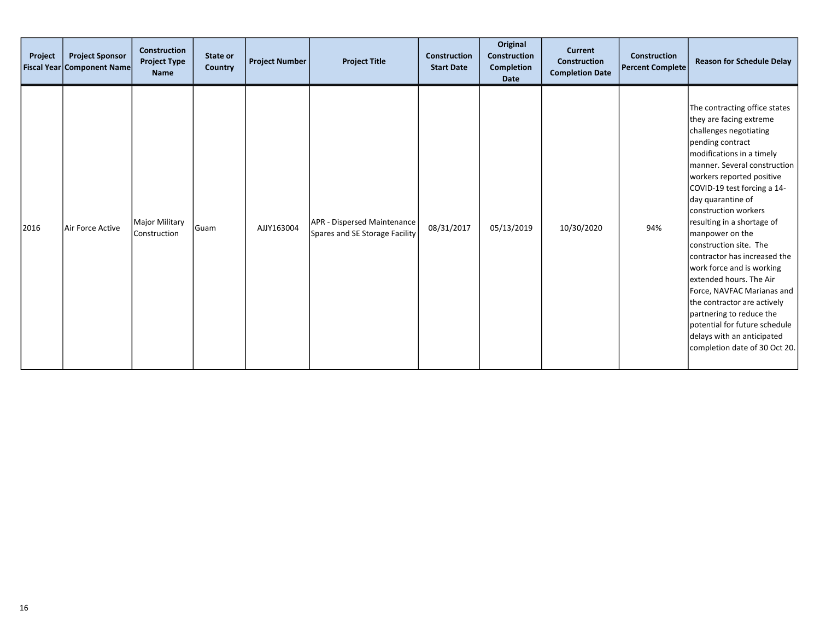| Project | <b>Project Sponsor</b><br><b>Fiscal Year Component Name</b> | <b>Construction</b><br><b>Project Type</b><br><b>Name</b> | State or<br>Country | <b>Project Number</b> | <b>Project Title</b>                                          | <b>Construction</b><br><b>Start Date</b> | Original<br><b>Construction</b><br>Completion<br><b>Date</b> | <b>Current</b><br>Construction<br><b>Completion Date</b> | <b>Construction</b><br><b>Percent Complete</b> | <b>Reason for Schedule Delay</b>                                                                                                                                                                                                                                                                                                                                                                                                                                                                                                                                                                                                         |
|---------|-------------------------------------------------------------|-----------------------------------------------------------|---------------------|-----------------------|---------------------------------------------------------------|------------------------------------------|--------------------------------------------------------------|----------------------------------------------------------|------------------------------------------------|------------------------------------------------------------------------------------------------------------------------------------------------------------------------------------------------------------------------------------------------------------------------------------------------------------------------------------------------------------------------------------------------------------------------------------------------------------------------------------------------------------------------------------------------------------------------------------------------------------------------------------------|
| 2016    | Air Force Active                                            | Major Military<br>Construction                            | Guam                | AJJY163004            | APR - Dispersed Maintenance<br>Spares and SE Storage Facility | 08/31/2017                               | 05/13/2019                                                   | 10/30/2020                                               | 94%                                            | The contracting office states<br>they are facing extreme<br>challenges negotiating<br>pending contract<br>modifications in a timely<br>manner. Several construction<br>workers reported positive<br>COVID-19 test forcing a 14-<br>day quarantine of<br>construction workers<br>resulting in a shortage of<br>manpower on the<br>construction site. The<br>contractor has increased the<br>work force and is working<br>extended hours. The Air<br>Force, NAVFAC Marianas and<br>the contractor are actively<br>partnering to reduce the<br>potential for future schedule<br>delays with an anticipated<br>completion date of 30 Oct 20. |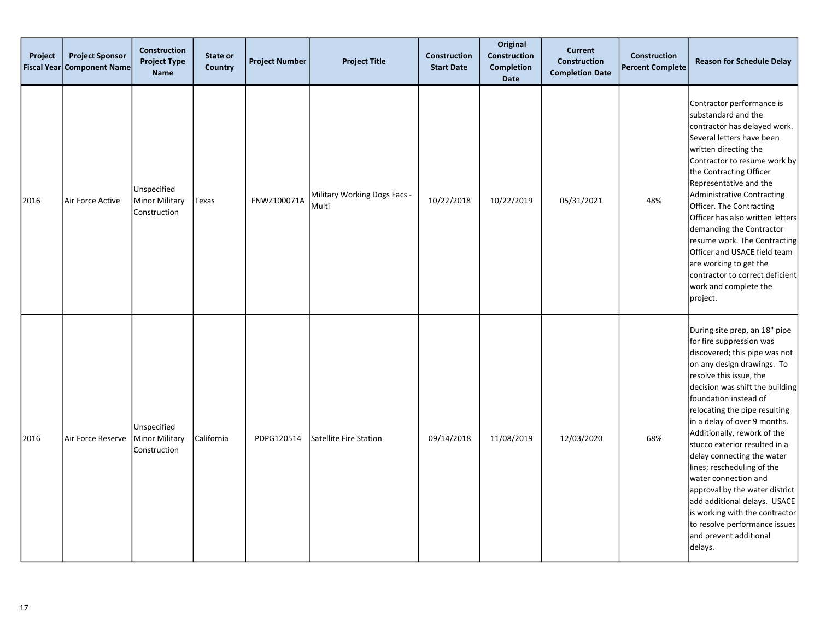| Project<br><b>Fiscal Year</b> | <b>Project Sponsor</b><br><b>Component Name</b> | <b>Construction</b><br><b>Project Type</b><br><b>Name</b> | State or<br>Country | <b>Project Number</b> | <b>Project Title</b>                  | <b>Construction</b><br><b>Start Date</b> | Original<br>Construction<br><b>Completion</b><br><b>Date</b> | <b>Current</b><br><b>Construction</b><br><b>Completion Date</b> | <b>Construction</b><br><b>Percent Complete</b> | <b>Reason for Schedule Delay</b>                                                                                                                                                                                                                                                                                                                                                                                                                                                                                                                                                                               |
|-------------------------------|-------------------------------------------------|-----------------------------------------------------------|---------------------|-----------------------|---------------------------------------|------------------------------------------|--------------------------------------------------------------|-----------------------------------------------------------------|------------------------------------------------|----------------------------------------------------------------------------------------------------------------------------------------------------------------------------------------------------------------------------------------------------------------------------------------------------------------------------------------------------------------------------------------------------------------------------------------------------------------------------------------------------------------------------------------------------------------------------------------------------------------|
| 2016                          | Air Force Active                                | Unspecified<br>Minor Military<br>Construction             | Texas               | FNWZ100071A           | Military Working Dogs Facs -<br>Multi | 10/22/2018                               | 10/22/2019                                                   | 05/31/2021                                                      | 48%                                            | Contractor performance is<br>substandard and the<br>contractor has delayed work.<br>Several letters have been<br>written directing the<br>Contractor to resume work by<br>the Contracting Officer<br>Representative and the<br><b>Administrative Contracting</b><br>Officer. The Contracting<br>Officer has also written letters<br>demanding the Contractor<br>resume work. The Contracting<br>Officer and USACE field team<br>are working to get the<br>contractor to correct deficient<br>work and complete the<br>project.                                                                                 |
| 2016                          | Air Force Reserve                               | Unspecified<br>Minor Military<br>Construction             | California          | PDPG120514            | Satellite Fire Station                | 09/14/2018                               | 11/08/2019                                                   | 12/03/2020                                                      | 68%                                            | During site prep, an 18" pipe<br>for fire suppression was<br>discovered; this pipe was not<br>on any design drawings. To<br>resolve this issue, the<br>decision was shift the building<br>foundation instead of<br>relocating the pipe resulting<br>in a delay of over 9 months.<br>Additionally, rework of the<br>stucco exterior resulted in a<br>delay connecting the water<br>lines; rescheduling of the<br>water connection and<br>approval by the water district<br>add additional delays. USACE<br>is working with the contractor<br>to resolve performance issues<br>and prevent additional<br>delays. |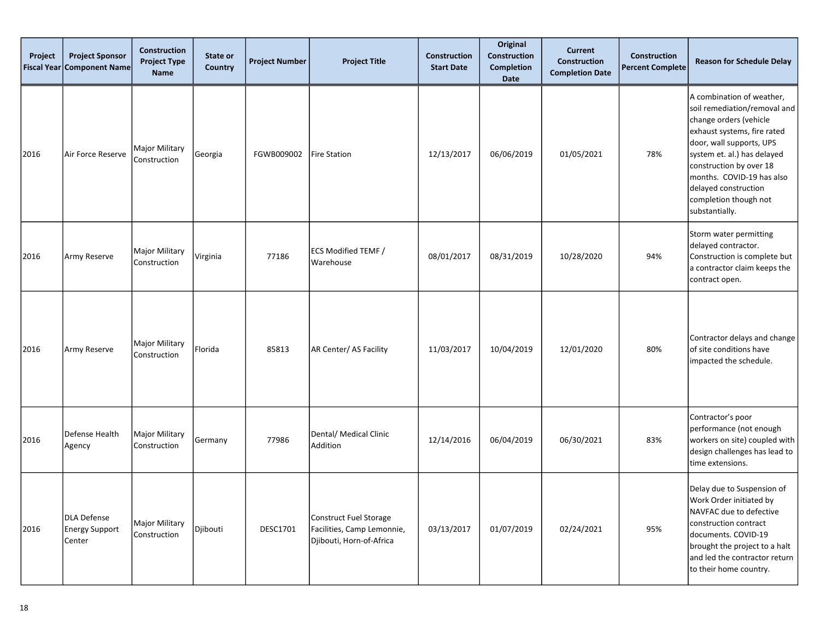| Project<br><b>Fiscal Year</b> | <b>Project Sponsor</b><br><b>Component Name</b>       | <b>Construction</b><br><b>Project Type</b><br>Name | State or<br>Country | <b>Project Number</b> | <b>Project Title</b>                                                             | Construction<br><b>Start Date</b> | Original<br>Construction<br><b>Completion</b><br>Date | <b>Current</b><br><b>Construction</b><br><b>Completion Date</b> | <b>Construction</b><br><b>Percent Complete</b> | <b>Reason for Schedule Delay</b>                                                                                                                                                                                                                                                                         |
|-------------------------------|-------------------------------------------------------|----------------------------------------------------|---------------------|-----------------------|----------------------------------------------------------------------------------|-----------------------------------|-------------------------------------------------------|-----------------------------------------------------------------|------------------------------------------------|----------------------------------------------------------------------------------------------------------------------------------------------------------------------------------------------------------------------------------------------------------------------------------------------------------|
| 2016                          | Air Force Reserve                                     | <b>Major Military</b><br>Construction              | Georgia             | FGWB009002            | <b>Fire Station</b>                                                              | 12/13/2017                        | 06/06/2019                                            | 01/05/2021                                                      | 78%                                            | A combination of weather,<br>soil remediation/removal and<br>change orders (vehicle<br>exhaust systems, fire rated<br>door, wall supports, UPS<br>system et. al.) has delayed<br>construction by over 18<br>months. COVID-19 has also<br>delayed construction<br>completion though not<br>substantially. |
| 2016                          | Army Reserve                                          | <b>Major Military</b><br>Construction              | Virginia            | 77186                 | <b>ECS Modified TEMF /</b><br>l Warehouse                                        | 08/01/2017                        | 08/31/2019                                            | 10/28/2020                                                      | 94%                                            | Storm water permitting<br>delayed contractor.<br>Construction is complete but<br>a contractor claim keeps the<br>contract open.                                                                                                                                                                          |
| 2016                          | Army Reserve                                          | Major Military<br>Construction                     | Florida             | 85813                 | AR Center/ AS Facility                                                           | 11/03/2017                        | 10/04/2019                                            | 12/01/2020                                                      | 80%                                            | Contractor delays and change<br>of site conditions have<br>impacted the schedule.                                                                                                                                                                                                                        |
| 2016                          | Defense Health<br>Agency                              | Major Military<br>Construction                     | Germany             | 77986                 | Dental/ Medical Clinic<br>Addition                                               | 12/14/2016                        | 06/04/2019                                            | 06/30/2021                                                      | 83%                                            | Contractor's poor<br>performance (not enough<br>workers on site) coupled with<br>design challenges has lead to<br>time extensions.                                                                                                                                                                       |
| 2016                          | <b>DLA Defense</b><br><b>Energy Support</b><br>Center | Major Military<br>Construction                     | Djibouti            | <b>DESC1701</b>       | Construct Fuel Storage<br>Facilities, Camp Lemonnie,<br>Djibouti, Horn-of-Africa | 03/13/2017                        | 01/07/2019                                            | 02/24/2021                                                      | 95%                                            | Delay due to Suspension of<br>Work Order initiated by<br>NAVFAC due to defective<br>construction contract<br>documents. COVID-19<br>brought the project to a halt<br>and led the contractor return<br>to their home country.                                                                             |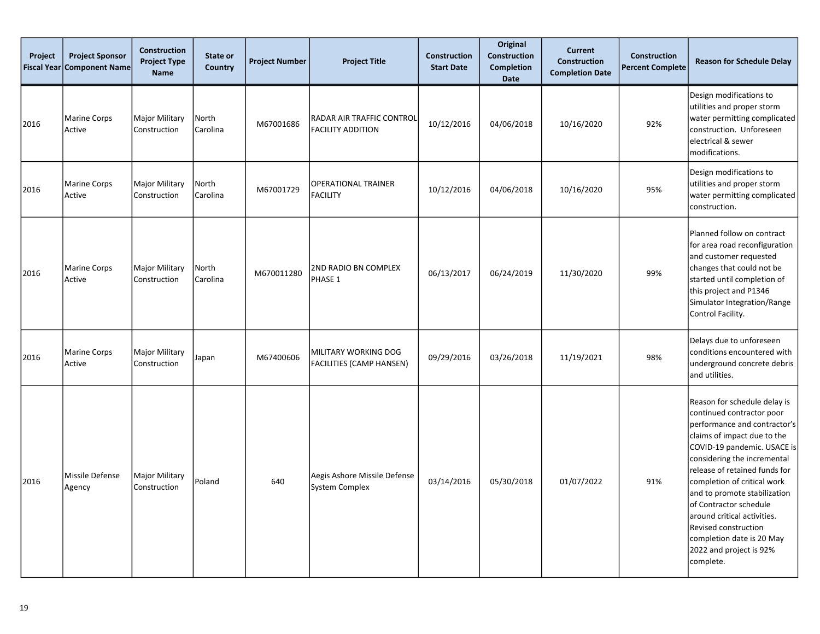| Project<br><b>Fiscal Year</b> | <b>Project Sponsor</b><br><b>Component Name</b> | <b>Construction</b><br><b>Project Type</b><br><b>Name</b> | State or<br>Country | <b>Project Number</b> | <b>Project Title</b>                                           | <b>Construction</b><br><b>Start Date</b> | Original<br><b>Construction</b><br>Completion<br><b>Date</b> | <b>Current</b><br><b>Construction</b><br><b>Completion Date</b> | <b>Construction</b><br><b>Percent Complete</b> | <b>Reason for Schedule Delay</b>                                                                                                                                                                                                                                                                                                                                                                                                             |
|-------------------------------|-------------------------------------------------|-----------------------------------------------------------|---------------------|-----------------------|----------------------------------------------------------------|------------------------------------------|--------------------------------------------------------------|-----------------------------------------------------------------|------------------------------------------------|----------------------------------------------------------------------------------------------------------------------------------------------------------------------------------------------------------------------------------------------------------------------------------------------------------------------------------------------------------------------------------------------------------------------------------------------|
| 2016                          | <b>Marine Corps</b><br>Active                   | <b>Major Military</b><br>Construction                     | North<br>Carolina   | M67001686             | RADAR AIR TRAFFIC CONTROL<br><b>FACILITY ADDITION</b>          | 10/12/2016                               | 04/06/2018                                                   | 10/16/2020                                                      | 92%                                            | Design modifications to<br>utilities and proper storm<br>water permitting complicated<br>construction. Unforeseen<br>electrical & sewer<br>modifications.                                                                                                                                                                                                                                                                                    |
| 2016                          | <b>Marine Corps</b><br>Active                   | Major Military<br>Construction                            | North<br>Carolina   | M67001729             | <b>OPERATIONAL TRAINER</b><br><b>FACILITY</b>                  | 10/12/2016                               | 04/06/2018                                                   | 10/16/2020                                                      | 95%                                            | Design modifications to<br>utilities and proper storm<br>water permitting complicated<br>construction.                                                                                                                                                                                                                                                                                                                                       |
| 2016                          | <b>Marine Corps</b><br>Active                   | <b>Major Military</b><br>Construction                     | North<br>Carolina   | M670011280            | 2ND RADIO BN COMPLEX<br>PHASE 1                                | 06/13/2017                               | 06/24/2019                                                   | 11/30/2020                                                      | 99%                                            | Planned follow on contract<br>for area road reconfiguration<br>and customer requested<br>changes that could not be<br>started until completion of<br>this project and P1346<br>Simulator Integration/Range<br>Control Facility.                                                                                                                                                                                                              |
| 2016                          | <b>Marine Corps</b><br>Active                   | Major Military<br>Construction                            | Japan               | M67400606             | <b>MILITARY WORKING DOG</b><br><b>FACILITIES (CAMP HANSEN)</b> | 09/29/2016                               | 03/26/2018                                                   | 11/19/2021                                                      | 98%                                            | Delays due to unforeseen<br>conditions encountered with<br>underground concrete debris<br>and utilities.                                                                                                                                                                                                                                                                                                                                     |
| 2016                          | Missile Defense<br>Agency                       | <b>Major Military</b><br>Construction                     | Poland              | 640                   | Aegis Ashore Missile Defense<br><b>System Complex</b>          | 03/14/2016                               | 05/30/2018                                                   | 01/07/2022                                                      | 91%                                            | Reason for schedule delay is<br>continued contractor poor<br>performance and contractor's<br>claims of impact due to the<br>COVID-19 pandemic. USACE is<br>considering the incremental<br>release of retained funds for<br>completion of critical work<br>and to promote stabilization<br>of Contractor schedule<br>around critical activities.<br>Revised construction<br>completion date is 20 May<br>2022 and project is 92%<br>complete. |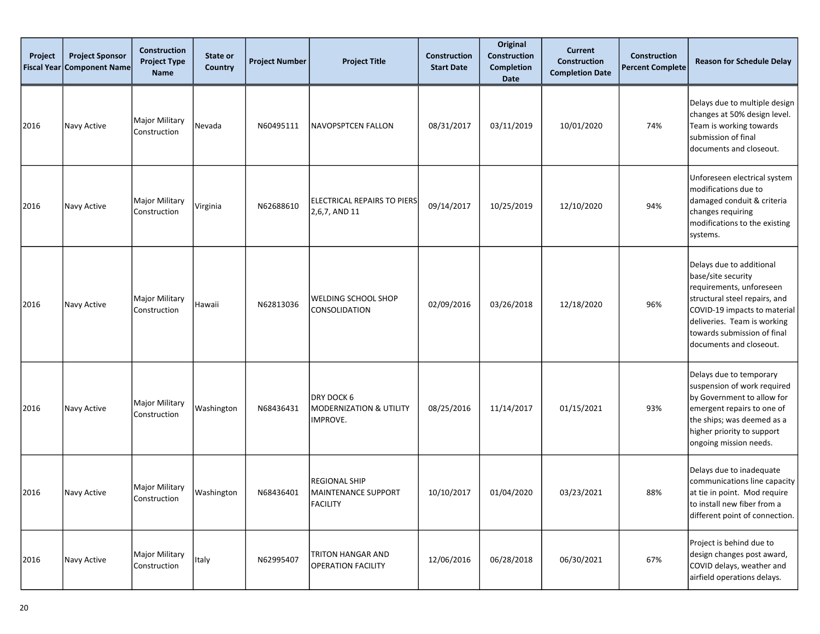| Project<br><b>Fiscal Year</b> | <b>Project Sponsor</b><br><b>Component Name</b> | <b>Construction</b><br><b>Project Type</b><br>Name | State or<br><b>Country</b> | <b>Project Number</b> | <b>Project Title</b>                                    | <b>Construction</b><br><b>Start Date</b> | Original<br><b>Construction</b><br><b>Completion</b><br>Date | <b>Current</b><br>Construction<br><b>Completion Date</b> | <b>Construction</b><br><b>Percent Complete</b> | <b>Reason for Schedule Delay</b>                                                                                                                                                                                                     |
|-------------------------------|-------------------------------------------------|----------------------------------------------------|----------------------------|-----------------------|---------------------------------------------------------|------------------------------------------|--------------------------------------------------------------|----------------------------------------------------------|------------------------------------------------|--------------------------------------------------------------------------------------------------------------------------------------------------------------------------------------------------------------------------------------|
| 2016                          | Navy Active                                     | Major Military<br>Construction                     | Nevada                     | N60495111             | NAVOPSPTCEN FALLON                                      | 08/31/2017                               | 03/11/2019                                                   | 10/01/2020                                               | 74%                                            | Delays due to multiple design<br>changes at 50% design level.<br>Team is working towards<br>submission of final<br>documents and closeout.                                                                                           |
| 2016                          | Navy Active                                     | <b>Major Military</b><br>Construction              | Virginia                   | N62688610             | ELECTRICAL REPAIRS TO PIERS<br>2,6,7, AND 11            | 09/14/2017                               | 10/25/2019                                                   | 12/10/2020                                               | 94%                                            | Unforeseen electrical system<br>modifications due to<br>damaged conduit & criteria<br>changes requiring<br>modifications to the existing<br>systems.                                                                                 |
| 2016                          | Navy Active                                     | <b>Major Military</b><br>Construction              | Hawaii                     | N62813036             | WELDING SCHOOL SHOP<br>CONSOLIDATION                    | 02/09/2016                               | 03/26/2018                                                   | 12/18/2020                                               | 96%                                            | Delays due to additional<br>base/site security<br>requirements, unforeseen<br>structural steel repairs, and<br>COVID-19 impacts to material<br>deliveries. Team is working<br>towards submission of final<br>documents and closeout. |
| 2016                          | Navy Active                                     | <b>Major Military</b><br>Construction              | Washington                 | N68436431             | DRY DOCK 6<br>MODERNIZATION & UTILITY<br>IMPROVE.       | 08/25/2016                               | 11/14/2017                                                   | 01/15/2021                                               | 93%                                            | Delays due to temporary<br>suspension of work required<br>by Government to allow for<br>emergent repairs to one of<br>the ships; was deemed as a<br>higher priority to support<br>ongoing mission needs.                             |
| 2016                          | Navy Active                                     | Major Military<br>Construction                     | Washington                 | N68436401             | <b>REGIONAL SHIP</b><br>MAINTENANCE SUPPORT<br>FACILITY | 10/10/2017                               | 01/04/2020                                                   | 03/23/2021                                               | 88%                                            | Delays due to inadequate<br>communications line capacity<br>at tie in point. Mod require<br>to install new fiber from a<br>different point of connection.                                                                            |
| 2016                          | Navy Active                                     | Major Military<br>Construction                     | Italy                      | N62995407             | <b>TRITON HANGAR AND</b><br><b>OPERATION FACILITY</b>   | 12/06/2016                               | 06/28/2018                                                   | 06/30/2021                                               | 67%                                            | Project is behind due to<br>design changes post award,<br>COVID delays, weather and<br>airfield operations delays.                                                                                                                   |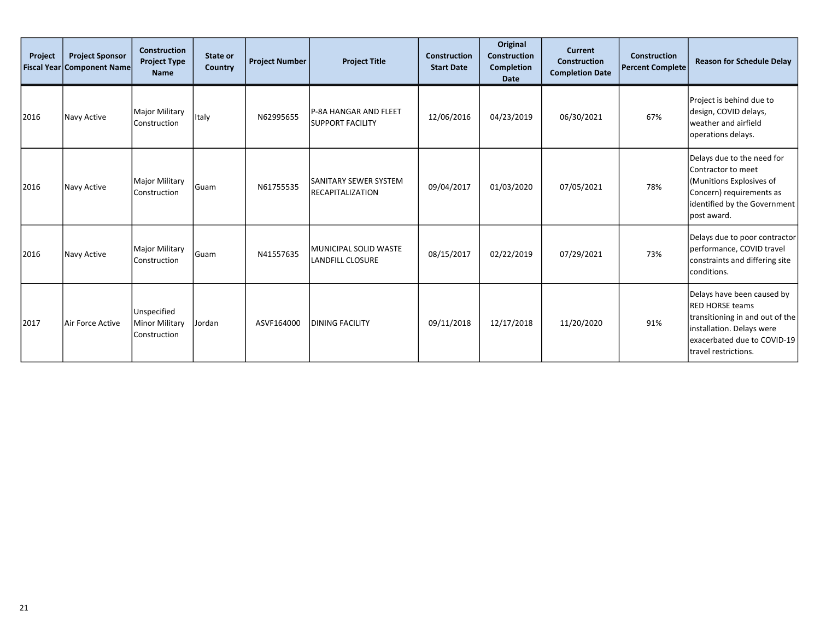| Project | <b>Project Sponsor</b><br><b>Fiscal Year Component Name</b> | <b>Construction</b><br><b>Project Type</b><br><b>Name</b> | State or<br>Country | <b>Project Number</b> | <b>Project Title</b>                              | <b>Construction</b><br><b>Start Date</b> | Original<br><b>Construction</b><br><b>Completion</b><br>Date | <b>Current</b><br><b>Construction</b><br><b>Completion Date</b> | <b>Construction</b><br><b>Percent Complete</b> | <b>Reason for Schedule Delay</b>                                                                                                                                            |
|---------|-------------------------------------------------------------|-----------------------------------------------------------|---------------------|-----------------------|---------------------------------------------------|------------------------------------------|--------------------------------------------------------------|-----------------------------------------------------------------|------------------------------------------------|-----------------------------------------------------------------------------------------------------------------------------------------------------------------------------|
| 2016    | Navy Active                                                 | Major Military<br>Construction                            | Italy               | N62995655             | P-8A HANGAR AND FLEET<br><b>SUPPORT FACILITY</b>  | 12/06/2016                               | 04/23/2019                                                   | 06/30/2021                                                      | 67%                                            | Project is behind due to<br>design, COVID delays,<br>weather and airfield<br>operations delays.                                                                             |
| 2016    | Navy Active                                                 | Major Military<br>Construction                            | l Guam              | N61755535             | ISANITARY SEWER SYSTEM<br><b>RECAPITALIZATION</b> | 09/04/2017                               | 01/03/2020                                                   | 07/05/2021                                                      | 78%                                            | Delays due to the need for<br>Contractor to meet<br>(Munitions Explosives of<br>Concern) requirements as<br>identified by the Government<br>post award.                     |
| 2016    | Navy Active                                                 | Major Military<br>Construction                            | Guam                | N41557635             | İMUNICIPAL SOLID WASTE<br>LANDFILL CLOSURE        | 08/15/2017                               | 02/22/2019                                                   | 07/29/2021                                                      | 73%                                            | Delays due to poor contractor<br>performance, COVID travel<br>constraints and differing site<br>conditions.                                                                 |
| 2017    | Air Force Active                                            | Unspecified<br>Minor Military<br>Construction             | Jordan              | ASVF164000            | <b>DINING FACILITY</b>                            | 09/11/2018                               | 12/17/2018                                                   | 11/20/2020                                                      | 91%                                            | Delays have been caused by<br><b>RED HORSE teams</b><br>transitioning in and out of the<br>installation. Delays were<br>exacerbated due to COVID-19<br>travel restrictions. |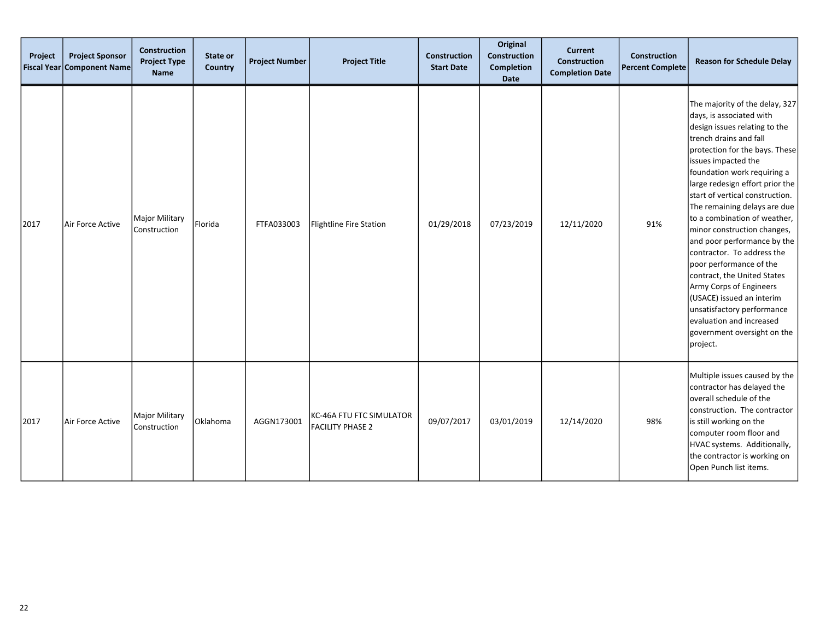| Project<br><b>Fiscal Year</b> | <b>Project Sponsor</b><br><b>Component Name</b> | <b>Construction</b><br><b>Project Type</b><br><b>Name</b> | State or<br><b>Country</b> | <b>Project Number</b> | <b>Project Title</b>                                | <b>Construction</b><br><b>Start Date</b> | Original<br>Construction<br><b>Completion</b><br><b>Date</b> | <b>Current</b><br><b>Construction</b><br><b>Completion Date</b> | Construction<br><b>Percent Complete</b> | <b>Reason for Schedule Delay</b>                                                                                                                                                                                                                                                                                                                                                                                                                                                                                                                                                                                                                                       |
|-------------------------------|-------------------------------------------------|-----------------------------------------------------------|----------------------------|-----------------------|-----------------------------------------------------|------------------------------------------|--------------------------------------------------------------|-----------------------------------------------------------------|-----------------------------------------|------------------------------------------------------------------------------------------------------------------------------------------------------------------------------------------------------------------------------------------------------------------------------------------------------------------------------------------------------------------------------------------------------------------------------------------------------------------------------------------------------------------------------------------------------------------------------------------------------------------------------------------------------------------------|
| 2017                          | Air Force Active                                | Major Military<br>Construction                            | Florida                    | FTFA033003            | Flightline Fire Station                             | 01/29/2018                               | 07/23/2019                                                   | 12/11/2020                                                      | 91%                                     | The majority of the delay, 327<br>days, is associated with<br>design issues relating to the<br>trench drains and fall<br>protection for the bays. These<br>issues impacted the<br>foundation work requiring a<br>large redesign effort prior the<br>start of vertical construction.<br>The remaining delays are due<br>to a combination of weather,<br>minor construction changes,<br>and poor performance by the<br>contractor. To address the<br>poor performance of the<br>contract, the United States<br>Army Corps of Engineers<br>(USACE) issued an interim<br>unsatisfactory performance<br>evaluation and increased<br>government oversight on the<br>project. |
| 2017                          | Air Force Active                                | Major Military<br>Construction                            | Oklahoma                   | AGGN173001            | KC-46A FTU FTC SIMULATOR<br><b>FACILITY PHASE 2</b> | 09/07/2017                               | 03/01/2019                                                   | 12/14/2020                                                      | 98%                                     | Multiple issues caused by the<br>contractor has delayed the<br>overall schedule of the<br>construction. The contractor<br>is still working on the<br>computer room floor and<br>HVAC systems. Additionally,<br>the contractor is working on<br>Open Punch list items.                                                                                                                                                                                                                                                                                                                                                                                                  |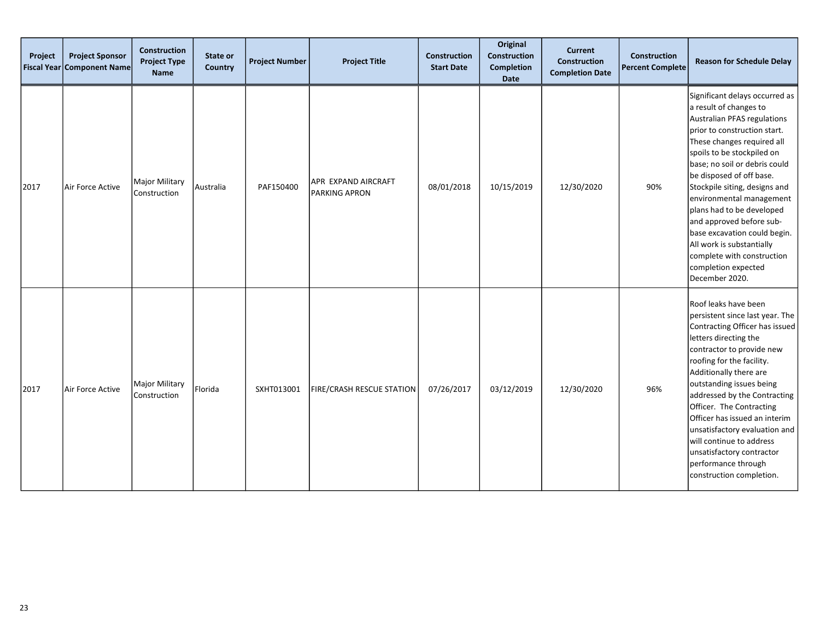| Project | <b>Project Sponsor</b><br><b>Fiscal Year Component Name</b> | <b>Construction</b><br><b>Project Type</b><br><b>Name</b> | State or<br><b>Country</b> | <b>Project Number</b> | <b>Project Title</b>                        | <b>Construction</b><br><b>Start Date</b> | Original<br>Construction<br><b>Completion</b><br>Date | <b>Current</b><br><b>Construction</b><br><b>Completion Date</b> | Construction<br><b>Percent Complete</b> | <b>Reason for Schedule Delay</b>                                                                                                                                                                                                                                                                                                                                                                                                                                                                           |
|---------|-------------------------------------------------------------|-----------------------------------------------------------|----------------------------|-----------------------|---------------------------------------------|------------------------------------------|-------------------------------------------------------|-----------------------------------------------------------------|-----------------------------------------|------------------------------------------------------------------------------------------------------------------------------------------------------------------------------------------------------------------------------------------------------------------------------------------------------------------------------------------------------------------------------------------------------------------------------------------------------------------------------------------------------------|
| 2017    | Air Force Active                                            | Major Military<br>Construction                            | Australia                  | PAF150400             | APR EXPAND AIRCRAFT<br><b>PARKING APRON</b> | 08/01/2018                               | 10/15/2019                                            | 12/30/2020                                                      | 90%                                     | Significant delays occurred as<br>a result of changes to<br>Australian PFAS regulations<br>prior to construction start.<br>These changes required all<br>spoils to be stockpiled on<br>base; no soil or debris could<br>be disposed of off base.<br>Stockpile siting, designs and<br>environmental management<br>plans had to be developed<br>and approved before sub-<br>base excavation could begin.<br>All work is substantially<br>complete with construction<br>completion expected<br>December 2020. |
| 2017    | Air Force Active                                            | Major Military<br>Construction                            | Florida                    | SXHT013001            | <b>FIRE/CRASH RESCUE STATION</b>            | 07/26/2017                               | 03/12/2019                                            | 12/30/2020                                                      | 96%                                     | Roof leaks have been<br>persistent since last year. The<br>Contracting Officer has issued<br>letters directing the<br>contractor to provide new<br>roofing for the facility.<br>Additionally there are<br>outstanding issues being<br>addressed by the Contracting<br>Officer. The Contracting<br>Officer has issued an interim<br>unsatisfactory evaluation and<br>will continue to address<br>unsatisfactory contractor<br>performance through<br>construction completion.                               |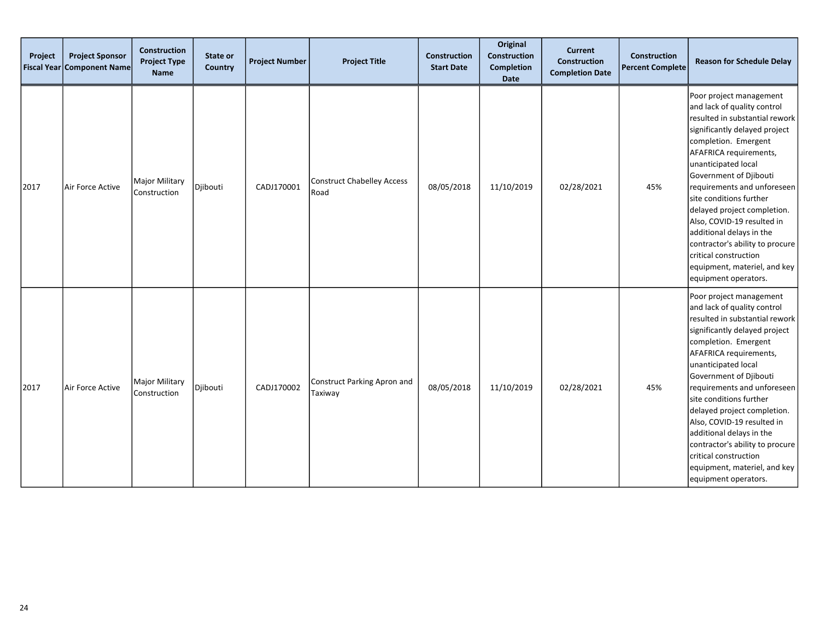| Project | <b>Project Sponsor</b><br>Fiscal Year Component Name | <b>Construction</b><br><b>Project Type</b><br><b>Name</b> | State or<br><b>Country</b> | <b>Project Number</b> | <b>Project Title</b>                      | <b>Construction</b><br><b>Start Date</b> | Original<br>Construction<br><b>Completion</b><br>Date | <b>Current</b><br>Construction<br><b>Completion Date</b> | Construction<br><b>Percent Complete</b> | <b>Reason for Schedule Delay</b>                                                                                                                                                                                                                                                                                                                                                                                                                                                                    |
|---------|------------------------------------------------------|-----------------------------------------------------------|----------------------------|-----------------------|-------------------------------------------|------------------------------------------|-------------------------------------------------------|----------------------------------------------------------|-----------------------------------------|-----------------------------------------------------------------------------------------------------------------------------------------------------------------------------------------------------------------------------------------------------------------------------------------------------------------------------------------------------------------------------------------------------------------------------------------------------------------------------------------------------|
| 2017    | Air Force Active                                     | <b>Major Military</b><br>Construction                     | Djibouti                   | CADJ170001            | <b>Construct Chabelley Access</b><br>Road | 08/05/2018                               | 11/10/2019                                            | 02/28/2021                                               | 45%                                     | Poor project management<br>and lack of quality control<br>resulted in substantial rework<br>significantly delayed project<br>completion. Emergent<br>AFAFRICA requirements,<br>unanticipated local<br>Government of Djibouti<br>requirements and unforeseen<br>site conditions further<br>delayed project completion.<br>Also, COVID-19 resulted in<br>additional delays in the<br>contractor's ability to procure<br>critical construction<br>equipment, materiel, and key<br>equipment operators. |
| 2017    | Air Force Active                                     | Major Military<br>Construction                            | Djibouti                   | CADJ170002            | Construct Parking Apron and<br>Taxiway    | 08/05/2018                               | 11/10/2019                                            | 02/28/2021                                               | 45%                                     | Poor project management<br>and lack of quality control<br>resulted in substantial rework<br>significantly delayed project<br>completion. Emergent<br>AFAFRICA requirements,<br>unanticipated local<br>Government of Djibouti<br>requirements and unforeseen<br>site conditions further<br>delayed project completion.<br>Also, COVID-19 resulted in<br>additional delays in the<br>contractor's ability to procure<br>critical construction<br>equipment, materiel, and key<br>equipment operators. |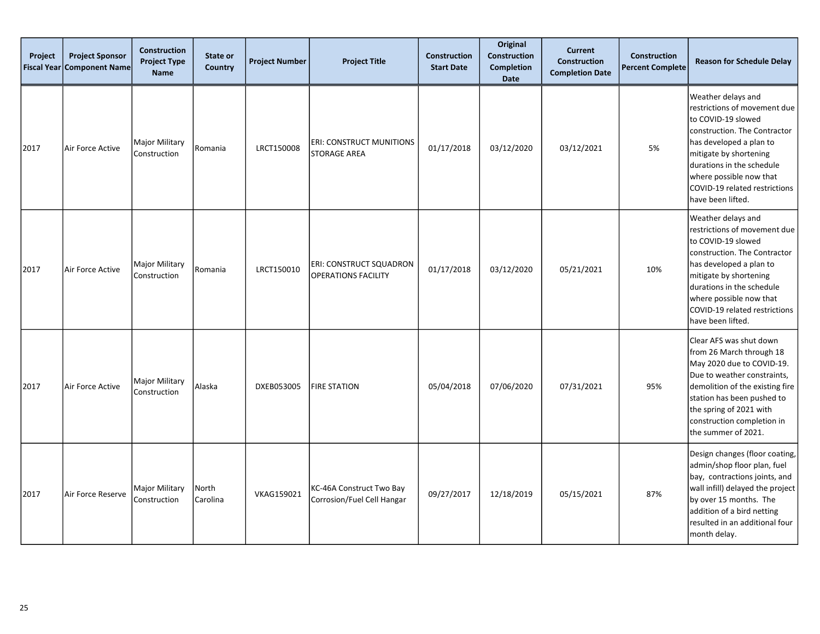| Project<br><b>Fiscal Year</b> | <b>Project Sponsor</b><br><b>Component Name</b> | <b>Construction</b><br><b>Project Type</b><br><b>Name</b> | State or<br><b>Country</b> | <b>Project Number</b> | <b>Project Title</b>                                         | <b>Construction</b><br><b>Start Date</b> | Original<br><b>Construction</b><br><b>Completion</b><br><b>Date</b> | <b>Current</b><br><b>Construction</b><br><b>Completion Date</b> | <b>Construction</b><br><b>Percent Complete</b> | <b>Reason for Schedule Delay</b>                                                                                                                                                                                                                                            |
|-------------------------------|-------------------------------------------------|-----------------------------------------------------------|----------------------------|-----------------------|--------------------------------------------------------------|------------------------------------------|---------------------------------------------------------------------|-----------------------------------------------------------------|------------------------------------------------|-----------------------------------------------------------------------------------------------------------------------------------------------------------------------------------------------------------------------------------------------------------------------------|
| 2017                          | Air Force Active                                | <b>Major Military</b><br>Construction                     | Romania                    | LRCT150008            | <b>ERI: CONSTRUCT MUNITIONS</b><br><b>STORAGE AREA</b>       | 01/17/2018                               | 03/12/2020                                                          | 03/12/2021                                                      | 5%                                             | Weather delays and<br>restrictions of movement due<br>to COVID-19 slowed<br>construction. The Contractor<br>has developed a plan to<br>mitigate by shortening<br>durations in the schedule<br>where possible now that<br>COVID-19 related restrictions<br>have been lifted. |
| 2017                          | Air Force Active                                | <b>Major Military</b><br>Construction                     | Romania                    | LRCT150010            | <b>ERI: CONSTRUCT SQUADRON</b><br><b>OPERATIONS FACILITY</b> | 01/17/2018                               | 03/12/2020                                                          | 05/21/2021                                                      | 10%                                            | Weather delays and<br>restrictions of movement due<br>to COVID-19 slowed<br>construction. The Contractor<br>has developed a plan to<br>mitigate by shortening<br>durations in the schedule<br>where possible now that<br>COVID-19 related restrictions<br>have been lifted. |
| 2017                          | Air Force Active                                | <b>Major Military</b><br>Construction                     | Alaska                     | DXEB053005            | <b>FIRE STATION</b>                                          | 05/04/2018                               | 07/06/2020                                                          | 07/31/2021                                                      | 95%                                            | Clear AFS was shut down<br>from 26 March through 18<br>May 2020 due to COVID-19.<br>Due to weather constraints,<br>demolition of the existing fire<br>station has been pushed to<br>the spring of 2021 with<br>construction completion in<br>the summer of 2021.            |
| 2017                          | Air Force Reserve                               | <b>Major Military</b><br>Construction                     | North <br>Carolina         | VKAG159021            | KC-46A Construct Two Bay<br>Corrosion/Fuel Cell Hangar       | 09/27/2017                               | 12/18/2019                                                          | 05/15/2021                                                      | 87%                                            | Design changes (floor coating,<br>admin/shop floor plan, fuel<br>bay, contractions joints, and<br>wall infill) delayed the project<br>by over 15 months. The<br>addition of a bird netting<br>resulted in an additional four<br>month delay.                                |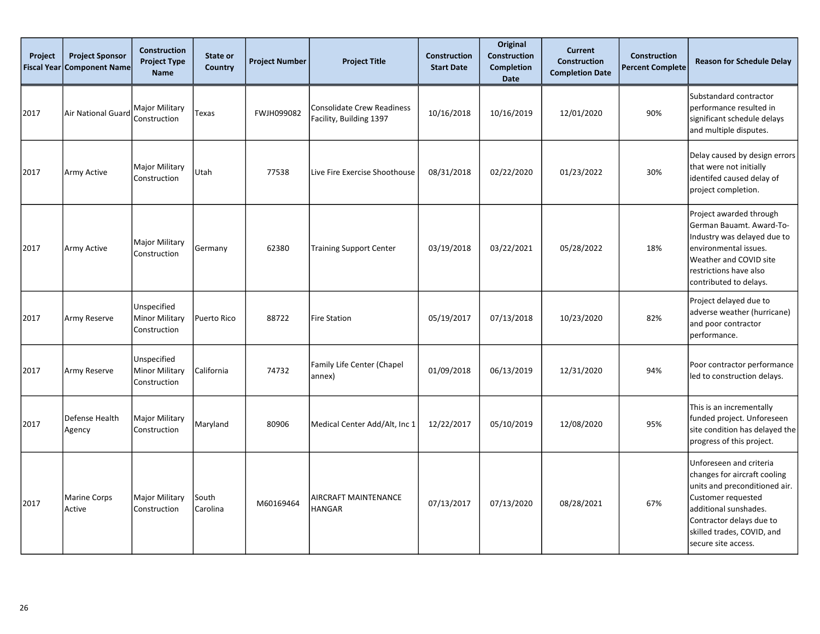| Project<br><b>Fiscal Year</b> | <b>Project Sponsor</b><br><b>Component Name</b> | Construction<br><b>Project Type</b><br><b>Name</b>   | State or<br><b>Country</b> | <b>Project Number</b> | <b>Project Title</b>                                         | Construction<br><b>Start Date</b> | Original<br><b>Construction</b><br><b>Completion</b><br><b>Date</b> | <b>Current</b><br><b>Construction</b><br><b>Completion Date</b> | <b>Construction</b><br><b>Percent Complete</b> | <b>Reason for Schedule Delay</b>                                                                                                                                                                                         |
|-------------------------------|-------------------------------------------------|------------------------------------------------------|----------------------------|-----------------------|--------------------------------------------------------------|-----------------------------------|---------------------------------------------------------------------|-----------------------------------------------------------------|------------------------------------------------|--------------------------------------------------------------------------------------------------------------------------------------------------------------------------------------------------------------------------|
| 2017                          | Air National Guard                              | Major Military<br>Construction                       | Texas                      | FWJH099082            | <b>Consolidate Crew Readiness</b><br>Facility, Building 1397 | 10/16/2018                        | 10/16/2019                                                          | 12/01/2020                                                      | 90%                                            | Substandard contractor<br>performance resulted in<br>significant schedule delays<br>and multiple disputes.                                                                                                               |
| 2017                          | Army Active                                     | Major Military<br>Construction                       | Utah                       | 77538                 | Live Fire Exercise Shoothouse                                | 08/31/2018                        | 02/22/2020                                                          | 01/23/2022                                                      | 30%                                            | Delay caused by design errors<br>that were not initially<br>identifed caused delay of<br>project completion.                                                                                                             |
| 2017                          | Army Active                                     | Major Military<br>Construction                       | Germany                    | 62380                 | <b>Training Support Center</b>                               | 03/19/2018                        | 03/22/2021                                                          | 05/28/2022                                                      | 18%                                            | Project awarded through<br>German Bauamt. Award-To-<br>Industry was delayed due to<br>environmental issues.<br>Weather and COVID site<br>restrictions have also<br>contributed to delays.                                |
| 2017                          | Army Reserve                                    | Unspecified<br><b>Minor Military</b><br>Construction | Puerto Rico                | 88722                 | <b>Fire Station</b>                                          | 05/19/2017                        | 07/13/2018                                                          | 10/23/2020                                                      | 82%                                            | Project delayed due to<br>adverse weather (hurricane)<br>and poor contractor<br>performance.                                                                                                                             |
| 2017                          | Army Reserve                                    | Unspecified<br>Minor Military<br>Construction        | California                 | 74732                 | Family Life Center (Chapel<br>annex)                         | 01/09/2018                        | 06/13/2019                                                          | 12/31/2020                                                      | 94%                                            | Poor contractor performance<br>led to construction delays.                                                                                                                                                               |
| 2017                          | Defense Health<br>Agency                        | Major Military<br>Construction                       | Maryland                   | 80906                 | Medical Center Add/Alt, Inc 1                                | 12/22/2017                        | 05/10/2019                                                          | 12/08/2020                                                      | 95%                                            | This is an incrementally<br>funded project. Unforeseen<br>site condition has delayed the<br>progress of this project.                                                                                                    |
| 2017                          | Marine Corps<br>Active                          | Major Military<br>Construction                       | South<br>Carolina          | M60169464             | AIRCRAFT MAINTENANCE<br><b>HANGAR</b>                        | 07/13/2017                        | 07/13/2020                                                          | 08/28/2021                                                      | 67%                                            | Unforeseen and criteria<br>changes for aircraft cooling<br>units and preconditioned air.<br>Customer requested<br>additional sunshades.<br>Contractor delays due to<br>skilled trades, COVID, and<br>secure site access. |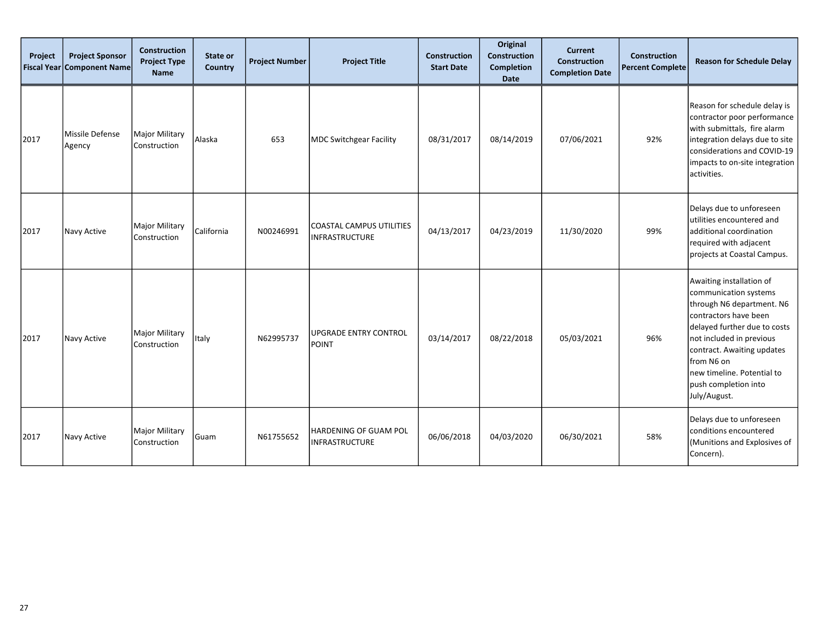| Project<br><b>Fiscal Year</b> | <b>Project Sponsor</b><br><b>Component Name</b> | Construction<br><b>Project Type</b><br><b>Name</b> | State or<br>Country | <b>Project Number</b> | <b>Project Title</b>                              | <b>Construction</b><br><b>Start Date</b> | Original<br>Construction<br><b>Completion</b><br>Date | <b>Current</b><br><b>Construction</b><br><b>Completion Date</b> | <b>Construction</b><br><b>Percent Complete</b> | <b>Reason for Schedule Delay</b>                                                                                                                                                                                                                                                      |
|-------------------------------|-------------------------------------------------|----------------------------------------------------|---------------------|-----------------------|---------------------------------------------------|------------------------------------------|-------------------------------------------------------|-----------------------------------------------------------------|------------------------------------------------|---------------------------------------------------------------------------------------------------------------------------------------------------------------------------------------------------------------------------------------------------------------------------------------|
| 2017                          | Missile Defense<br>Agency                       | Major Military<br>Construction                     | Alaska              | 653                   | MDC Switchgear Facility                           | 08/31/2017                               | 08/14/2019                                            | 07/06/2021                                                      | 92%                                            | Reason for schedule delay is<br>contractor poor performance<br>with submittals, fire alarm<br>integration delays due to site<br>considerations and COVID-19<br>impacts to on-site integration<br>activities.                                                                          |
| 2017                          | Navy Active                                     | Major Military<br>Construction                     | California          | N00246991             | COASTAL CAMPUS UTILITIES<br><b>INFRASTRUCTURE</b> | 04/13/2017                               | 04/23/2019                                            | 11/30/2020                                                      | 99%                                            | Delays due to unforeseen<br>utilities encountered and<br>additional coordination<br>required with adjacent<br>projects at Coastal Campus.                                                                                                                                             |
| 2017                          | Navy Active                                     | Major Military<br>Construction                     | Italy               | N62995737             | lupgrade entry control<br>POINT                   | 03/14/2017                               | 08/22/2018                                            | 05/03/2021                                                      | 96%                                            | Awaiting installation of<br>communication systems<br>through N6 department. N6<br>contractors have been<br>delayed further due to costs<br>not included in previous<br>contract. Awaiting updates<br>from N6 on<br>new timeline. Potential to<br>push completion into<br>July/August. |
| 2017                          | Navy Active                                     | Major Military<br>Construction                     | Guam                | N61755652             | HARDENING OF GUAM POL<br><b>INFRASTRUCTURE</b>    | 06/06/2018                               | 04/03/2020                                            | 06/30/2021                                                      | 58%                                            | Delays due to unforeseen<br>conditions encountered<br>(Munitions and Explosives of<br>Concern).                                                                                                                                                                                       |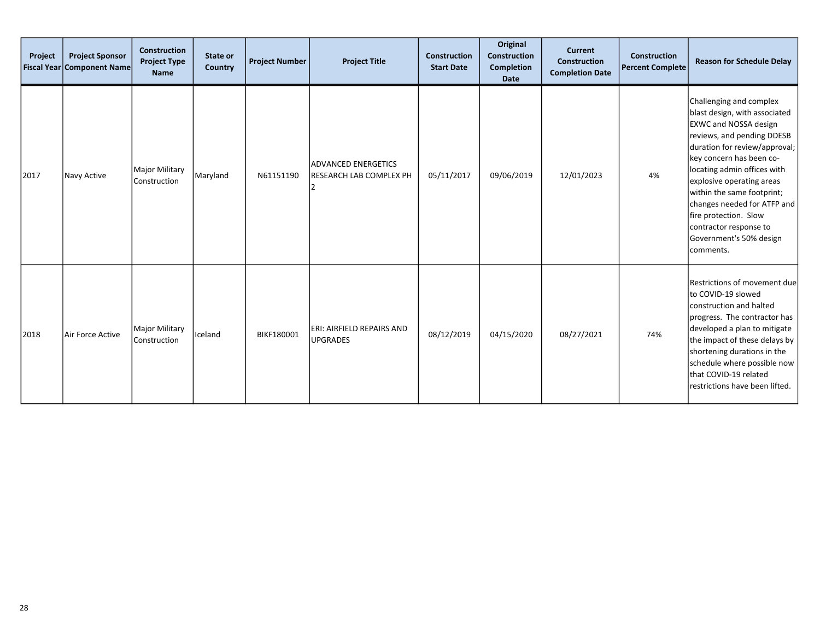| Project | <b>Project Sponsor</b><br>Fiscal Year Component Name | <b>Construction</b><br><b>Project Type</b><br><b>Name</b> | State or<br>Country | <b>Project Number</b> | <b>Project Title</b>                                         | Construction<br><b>Start Date</b> | Original<br><b>Construction</b><br><b>Completion</b><br><b>Date</b> | <b>Current</b><br><b>Construction</b><br><b>Completion Date</b> | Construction<br><b>Percent Complete</b> | <b>Reason for Schedule Delay</b>                                                                                                                                                                                                                                                                                                                                                                        |
|---------|------------------------------------------------------|-----------------------------------------------------------|---------------------|-----------------------|--------------------------------------------------------------|-----------------------------------|---------------------------------------------------------------------|-----------------------------------------------------------------|-----------------------------------------|---------------------------------------------------------------------------------------------------------------------------------------------------------------------------------------------------------------------------------------------------------------------------------------------------------------------------------------------------------------------------------------------------------|
| 2017    | Navy Active                                          | <b>Major Military</b><br>Construction                     | Maryland            | N61151190             | <b>ADVANCED ENERGETICS</b><br><b>RESEARCH LAB COMPLEX PH</b> | 05/11/2017                        | 09/06/2019                                                          | 12/01/2023                                                      | 4%                                      | Challenging and complex<br>blast design, with associated<br><b>EXWC and NOSSA design</b><br>reviews, and pending DDESB<br>duration for review/approval;<br>key concern has been co-<br>locating admin offices with<br>explosive operating areas<br>within the same footprint;<br>changes needed for ATFP and<br>fire protection. Slow<br>contractor response to<br>Government's 50% design<br>comments. |
| 2018    | Air Force Active                                     | Major Military<br>Construction                            | Iceland             | BIKF180001            | ERI: AIRFIELD REPAIRS AND<br><b>UPGRADES</b>                 | 08/12/2019                        | 04/15/2020                                                          | 08/27/2021                                                      | 74%                                     | Restrictions of movement due<br>to COVID-19 slowed<br>construction and halted<br>progress. The contractor has<br>developed a plan to mitigate<br>the impact of these delays by<br>shortening durations in the<br>schedule where possible now<br>that COVID-19 related<br>restrictions have been lifted.                                                                                                 |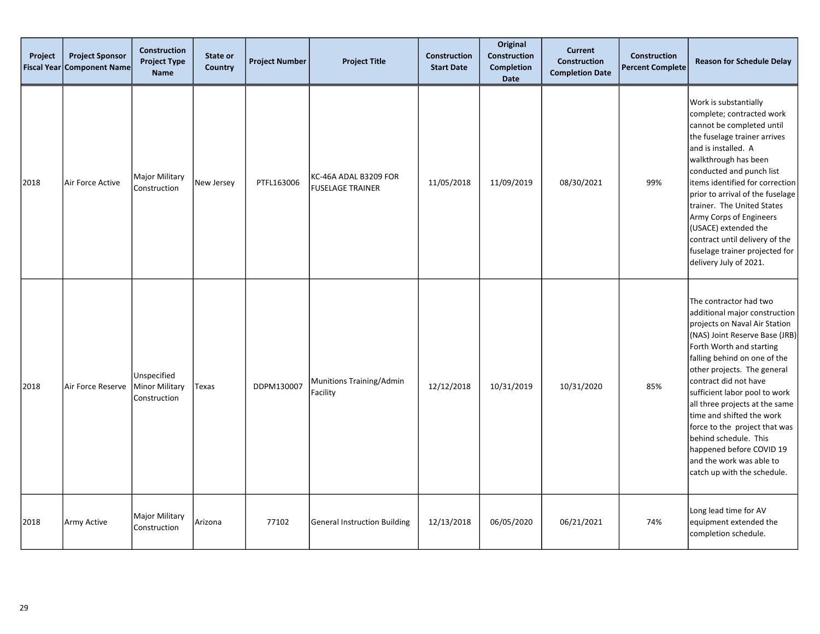| Project | <b>Project Sponsor</b><br><b>Fiscal Year Component Name</b> | <b>Construction</b><br><b>Project Type</b><br><b>Name</b> | State or<br>Country | <b>Project Number</b> | <b>Project Title</b>                             | <b>Construction</b><br><b>Start Date</b> | Original<br>Construction<br><b>Completion</b><br><b>Date</b> | <b>Current</b><br><b>Construction</b><br><b>Completion Date</b> | <b>Construction</b><br><b>Percent Complete</b> | <b>Reason for Schedule Delay</b>                                                                                                                                                                                                                                                                                                                                                                                                                                                                |
|---------|-------------------------------------------------------------|-----------------------------------------------------------|---------------------|-----------------------|--------------------------------------------------|------------------------------------------|--------------------------------------------------------------|-----------------------------------------------------------------|------------------------------------------------|-------------------------------------------------------------------------------------------------------------------------------------------------------------------------------------------------------------------------------------------------------------------------------------------------------------------------------------------------------------------------------------------------------------------------------------------------------------------------------------------------|
| 2018    | Air Force Active                                            | Major Military<br>Construction                            | New Jersey          | PTFL163006            | KC-46A ADAL B3209 FOR<br><b>FUSELAGE TRAINER</b> | 11/05/2018                               | 11/09/2019                                                   | 08/30/2021                                                      | 99%                                            | Work is substantially<br>complete; contracted work<br>cannot be completed until<br>the fuselage trainer arrives<br>and is installed. A<br>walkthrough has been<br>conducted and punch list<br>items identified for correction<br>prior to arrival of the fuselage<br>trainer. The United States<br>Army Corps of Engineers<br>(USACE) extended the<br>contract until delivery of the<br>fuselage trainer projected for<br>delivery July of 2021.                                                |
| 2018    | Air Force Reserve                                           | Unspecified<br><b>Minor Military</b><br>Construction      | Texas               | DDPM130007            | Munitions Training/Admin<br>Facility             | 12/12/2018                               | 10/31/2019                                                   | 10/31/2020                                                      | 85%                                            | The contractor had two<br>additional major construction<br>projects on Naval Air Station<br>(NAS) Joint Reserve Base (JRB)<br>Forth Worth and starting<br>falling behind on one of the<br>other projects. The general<br>contract did not have<br>sufficient labor pool to work<br>all three projects at the same<br>time and shifted the work<br>force to the project that was<br>behind schedule. This<br>happened before COVID 19<br>and the work was able to<br>catch up with the schedule. |
| 2018    | Army Active                                                 | Major Military<br>Construction                            | Arizona             | 77102                 | <b>General Instruction Building</b>              | 12/13/2018                               | 06/05/2020                                                   | 06/21/2021                                                      | 74%                                            | Long lead time for AV<br>equipment extended the<br>completion schedule.                                                                                                                                                                                                                                                                                                                                                                                                                         |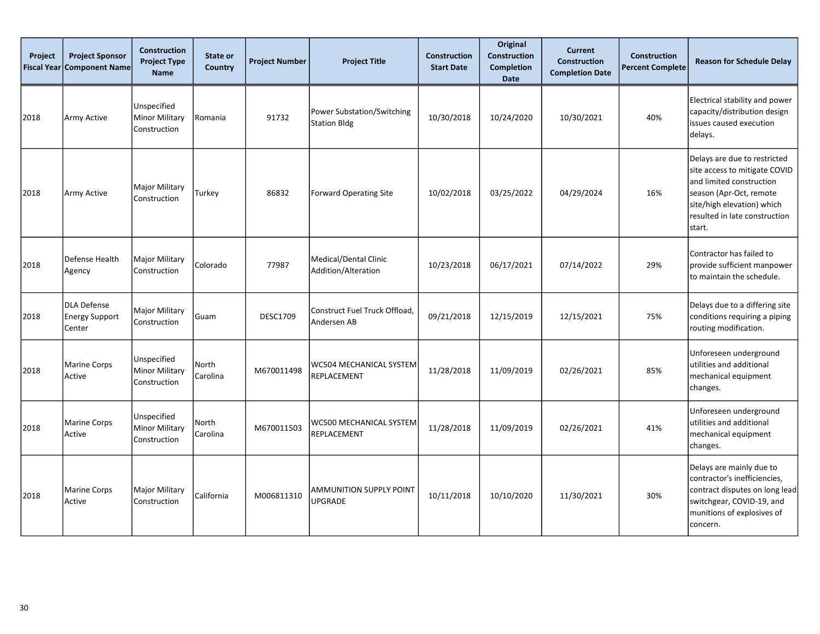| Project<br><b>Fiscal Year</b> | <b>Project Sponsor</b><br><b>Component Name</b> | <b>Construction</b><br><b>Project Type</b><br><b>Name</b> | State or<br>Country      | <b>Project Number</b> | <b>Project Title</b>                              | Construction<br><b>Start Date</b> | Original<br><b>Construction</b><br><b>Completion</b><br><b>Date</b> | <b>Current</b><br><b>Construction</b><br><b>Completion Date</b> | <b>Construction</b><br><b>Percent Complete</b> | <b>Reason for Schedule Delay</b>                                                                                                                                                              |
|-------------------------------|-------------------------------------------------|-----------------------------------------------------------|--------------------------|-----------------------|---------------------------------------------------|-----------------------------------|---------------------------------------------------------------------|-----------------------------------------------------------------|------------------------------------------------|-----------------------------------------------------------------------------------------------------------------------------------------------------------------------------------------------|
| 2018                          | Army Active                                     | Unspecified<br><b>Minor Military</b><br>Construction      | Romania                  | 91732                 | Power Substation/Switching<br><b>Station Bldg</b> | 10/30/2018                        | 10/24/2020                                                          | 10/30/2021                                                      | 40%                                            | Electrical stability and power<br>capacity/distribution design<br>issues caused execution<br>delays.                                                                                          |
| 2018                          | Army Active                                     | <b>Major Military</b><br>Construction                     | Turkey                   | 86832                 | Forward Operating Site                            | 10/02/2018                        | 03/25/2022                                                          | 04/29/2024                                                      | 16%                                            | Delays are due to restricted<br>site access to mitigate COVID<br>and limited construction<br>season (Apr-Oct, remote<br>site/high elevation) which<br>resulted in late construction<br>start. |
| 2018                          | Defense Health<br>Agency                        | Major Military<br>Construction                            | Colorado                 | 77987                 | Medical/Dental Clinic<br>Addition/Alteration      | 10/23/2018                        | 06/17/2021                                                          | 07/14/2022                                                      | 29%                                            | Contractor has failed to<br>provide sufficient manpower<br>to maintain the schedule.                                                                                                          |
| 2018                          | DLA Defense<br><b>Energy Support</b><br>Center  | Major Military<br>Construction                            | Guam                     | <b>DESC1709</b>       | Construct Fuel Truck Offload,<br>Andersen AB      | 09/21/2018                        | 12/15/2019                                                          | 12/15/2021                                                      | 75%                                            | Delays due to a differing site<br>conditions requiring a piping<br>routing modification.                                                                                                      |
| 2018                          | <b>Marine Corps</b><br>Active                   | Unspecified<br>Minor Military<br>Construction             | North<br>Carolina        | M670011498            | WC504 MECHANICAL SYSTEM<br>REPLACEMENT            | 11/28/2018                        | 11/09/2019                                                          | 02/26/2021                                                      | 85%                                            | Unforeseen underground<br>utilities and additional<br>mechanical equipment<br>changes.                                                                                                        |
| 2018                          | Marine Corps<br>Active                          | Unspecified<br><b>Minor Military</b><br>Construction      | <b>North</b><br>Carolina | M670011503            | WC500 MECHANICAL SYSTEM<br>REPLACEMENT            | 11/28/2018                        | 11/09/2019                                                          | 02/26/2021                                                      | 41%                                            | Unforeseen underground<br>utilities and additional<br>mechanical equipment<br>changes.                                                                                                        |
| 2018                          | <b>Marine Corps</b><br>Active                   | Major Military<br>Construction                            | California               | M006811310            | AMMUNITION SUPPLY POINT<br><b>UPGRADE</b>         | 10/11/2018                        | 10/10/2020                                                          | 11/30/2021                                                      | 30%                                            | Delays are mainly due to<br>contractor's inefficiencies,<br>contract disputes on long lead<br>switchgear, COVID-19, and<br>munitions of explosives of<br>concern.                             |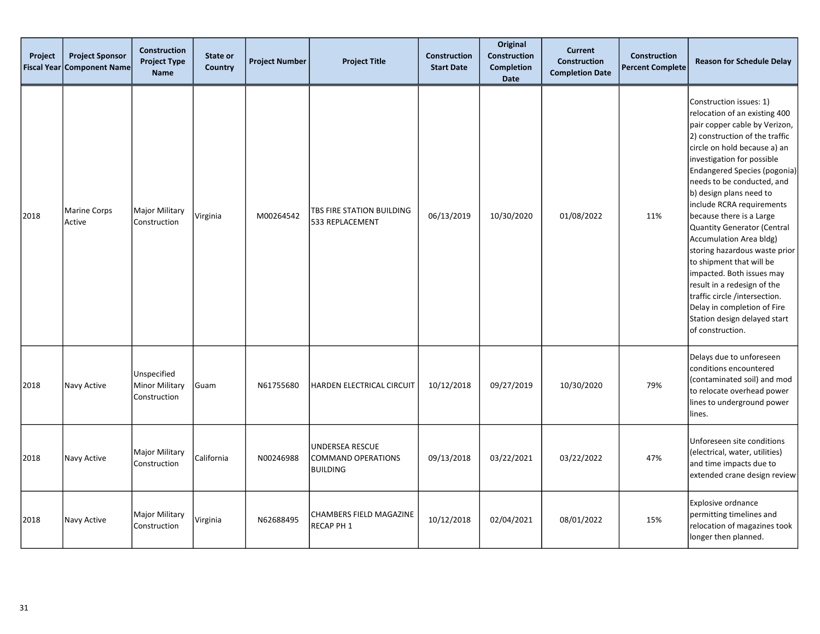| Project<br><b>Fiscal Year</b> | <b>Project Sponsor</b><br><b>Component Name</b> | <b>Construction</b><br><b>Project Type</b><br><b>Name</b> | State or<br>Country | <b>Project Number</b> | <b>Project Title</b>                                     | Construction<br><b>Start Date</b> | Original<br><b>Construction</b><br><b>Completion</b><br><b>Date</b> | <b>Current</b><br><b>Construction</b><br><b>Completion Date</b> | <b>Construction</b><br><b>Percent Complete</b> | <b>Reason for Schedule Delay</b>                                                                                                                                                                                                                                                                                                                                                                                                                                                                                                                                                                                                                   |
|-------------------------------|-------------------------------------------------|-----------------------------------------------------------|---------------------|-----------------------|----------------------------------------------------------|-----------------------------------|---------------------------------------------------------------------|-----------------------------------------------------------------|------------------------------------------------|----------------------------------------------------------------------------------------------------------------------------------------------------------------------------------------------------------------------------------------------------------------------------------------------------------------------------------------------------------------------------------------------------------------------------------------------------------------------------------------------------------------------------------------------------------------------------------------------------------------------------------------------------|
| 2018                          | <b>Marine Corps</b><br>Active                   | Major Military<br>Construction                            | Virginia            | M00264542             | TBS FIRE STATION BUILDING<br>533 REPLACEMENT             | 06/13/2019                        | 10/30/2020                                                          | 01/08/2022                                                      | 11%                                            | Construction issues: 1)<br>relocation of an existing 400<br>pair copper cable by Verizon,<br>2) construction of the traffic<br>circle on hold because a) an<br>investigation for possible<br>Endangered Species (pogonia)<br>needs to be conducted, and<br>b) design plans need to<br>include RCRA requirements<br>because there is a Large<br>Quantity Generator (Central<br>Accumulation Area bldg)<br>storing hazardous waste prior<br>to shipment that will be<br>impacted. Both issues may<br>result in a redesign of the<br>traffic circle /intersection.<br>Delay in completion of Fire<br>Station design delayed start<br>of construction. |
| 2018                          | Navy Active                                     | Unspecified<br><b>Minor Military</b><br>Construction      | Guam                | N61755680             | HARDEN ELECTRICAL CIRCUIT                                | 10/12/2018                        | 09/27/2019                                                          | 10/30/2020                                                      | 79%                                            | Delays due to unforeseen<br>conditions encountered<br>(contaminated soil) and mod<br>to relocate overhead power<br>lines to underground power<br>lines.                                                                                                                                                                                                                                                                                                                                                                                                                                                                                            |
| 2018                          | Navy Active                                     | Major Military<br>Construction                            | California          | N00246988             | <b>UNDERSEA RESCUE</b><br>COMMAND OPERATIONS<br>BUILDING | 09/13/2018                        | 03/22/2021                                                          | 03/22/2022                                                      | 47%                                            | Unforeseen site conditions<br>(electrical, water, utilities)<br>and time impacts due to<br>extended crane design review                                                                                                                                                                                                                                                                                                                                                                                                                                                                                                                            |
| 2018                          | Navy Active                                     | Major Military<br>Construction                            | Virginia            | N62688495             | <b>CHAMBERS FIELD MAGAZINE</b><br>RECAP PH 1             | 10/12/2018                        | 02/04/2021                                                          | 08/01/2022                                                      | 15%                                            | Explosive ordnance<br>permitting timelines and<br>relocation of magazines took<br>longer then planned.                                                                                                                                                                                                                                                                                                                                                                                                                                                                                                                                             |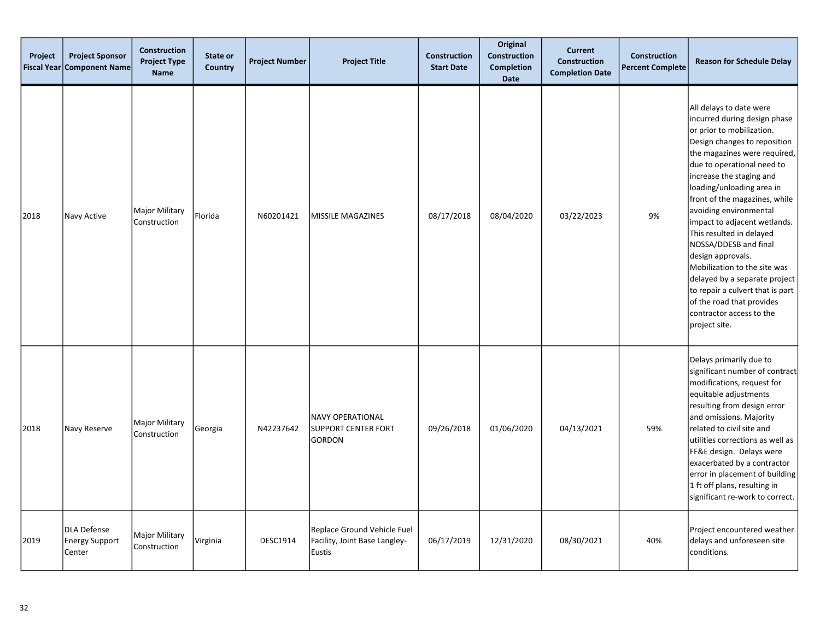| Project<br><b>Fiscal Year</b> | <b>Project Sponsor</b><br><b>Component Name</b> | <b>Construction</b><br><b>Project Type</b><br><b>Name</b> | State or<br>Country | <b>Project Number</b> | <b>Project Title</b>                                                   | <b>Construction</b><br><b>Start Date</b> | Original<br><b>Construction</b><br><b>Completion</b><br><b>Date</b> | <b>Current</b><br><b>Construction</b><br><b>Completion Date</b> | <b>Construction</b><br><b>Percent Complete</b> | <b>Reason for Schedule Delay</b>                                                                                                                                                                                                                                                                                                                                                                                                                                                                                                                                                                |
|-------------------------------|-------------------------------------------------|-----------------------------------------------------------|---------------------|-----------------------|------------------------------------------------------------------------|------------------------------------------|---------------------------------------------------------------------|-----------------------------------------------------------------|------------------------------------------------|-------------------------------------------------------------------------------------------------------------------------------------------------------------------------------------------------------------------------------------------------------------------------------------------------------------------------------------------------------------------------------------------------------------------------------------------------------------------------------------------------------------------------------------------------------------------------------------------------|
| 2018                          | Navy Active                                     | <b>Major Military</b><br>Construction                     | Florida             | N60201421             | <b>MISSILE MAGAZINES</b>                                               | 08/17/2018                               | 08/04/2020                                                          | 03/22/2023                                                      | 9%                                             | All delays to date were<br>incurred during design phase<br>or prior to mobilization.<br>Design changes to reposition<br>the magazines were required,<br>due to operational need to<br>increase the staging and<br>loading/unloading area in<br>front of the magazines, while<br>avoiding environmental<br>impact to adjacent wetlands.<br>This resulted in delayed<br>NOSSA/DDESB and final<br>design approvals.<br>Mobilization to the site was<br>delayed by a separate project<br>to repair a culvert that is part<br>of the road that provides<br>contractor access to the<br>project site. |
| 2018                          | Navy Reserve                                    | <b>Major Military</b><br>Construction                     | Georgia             | N42237642             | <b>NAVY OPERATIONAL</b><br>SUPPORT CENTER FORT<br><b>GORDON</b>        | 09/26/2018                               | 01/06/2020                                                          | 04/13/2021                                                      | 59%                                            | Delays primarily due to<br>significant number of contract<br>modifications, request for<br>equitable adjustments<br>resulting from design error<br>and omissions. Majority<br>related to civil site and<br>utilities corrections as well as<br>FF&E design. Delays were<br>exacerbated by a contractor<br>error in placement of building<br>1 ft off plans, resulting in<br>significant re-work to correct.                                                                                                                                                                                     |
| 2019                          | DLA Defense<br><b>Energy Support</b><br>Center  | <b>Major Military</b><br>Construction                     | Virginia            | <b>DESC1914</b>       | Replace Ground Vehicle Fuel<br>Facility, Joint Base Langley-<br>Eustis | 06/17/2019                               | 12/31/2020                                                          | 08/30/2021                                                      | 40%                                            | Project encountered weather<br>delays and unforeseen site<br>conditions.                                                                                                                                                                                                                                                                                                                                                                                                                                                                                                                        |